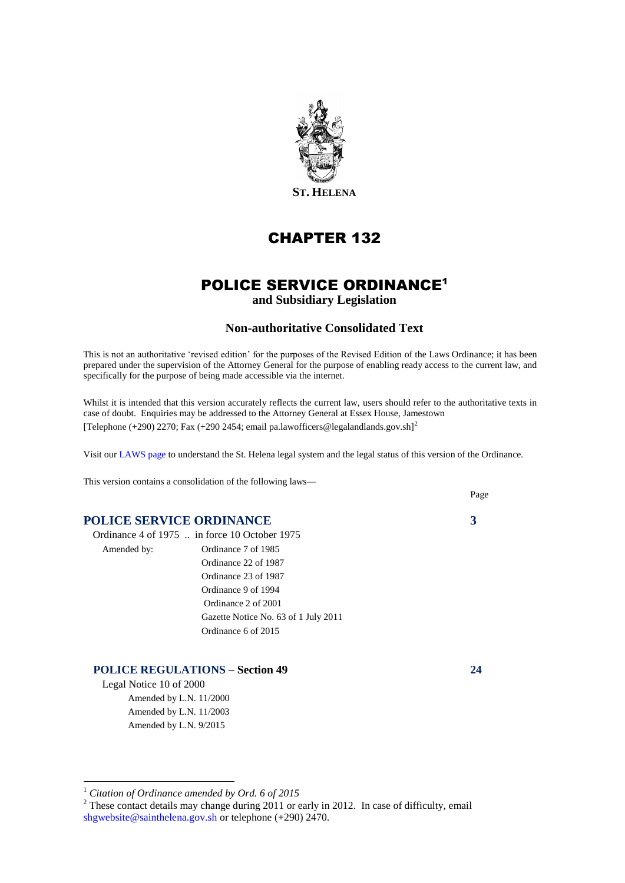

# CHAPTER 132

# POLICE SERVICE ORDINANCE<sup>1</sup>

**and Subsidiary Legislation**

#### **Non-authoritative Consolidated Text**

This is not an authoritative 'revised edition' for the purposes of the Revised Edition of the Laws Ordinance; it has been prepared under the supervision of the Attorney General for the purpose of enabling ready access to the current law, and specifically for the purpose of being made accessible via the internet.

Whilst it is intended that this version accurately reflects the current law, users should refer to the authoritative texts in case of doubt. Enquiries may be addressed to the Attorney General at Essex House, Jamestown [Telephone (+290) 2270; Fax (+290 2454; email pa.lawofficers@legalandlands.gov.sh]<sup>2</sup>

Visit ou[r LAWS page](http://www.sainthelena.gov.sh/pages/laws.html) to understand the St. Helena legal system and the legal status of this version of the Ordinance.

This version contains a consolidation of the following laws—

#### **POLICE SERVICE ORDINANCE 3**

|             | Ordinance 4 of 1975  in force 10 October 1975 |
|-------------|-----------------------------------------------|
| Amended by: | Ordinance 7 of 1985                           |
|             | Ordinance 22 of 1987                          |
|             | Ordinance 23 of 1987                          |
|             | Ordinance 9 of 1994                           |
|             | Ordinance 2 of 2001                           |
|             | Gazette Notice No. 63 of 1 July 2011          |
|             | Ordinance 6 of 2015                           |

#### **POLICE REGULATIONS – Section 49 24**

Legal Notice 10 of 2000 Amended by L.N. 11/2000 Amended by L.N. 11/2003 Amended by L.N. 9/2015

<u>.</u>



Page

<sup>1</sup> *Citation of Ordinance amended by Ord. 6 of 2015*

 $2$  These contact details may change during 2011 or early in 2012. In case of difficulty, email [shgwebsite@sainthelena.gov.sh](mailto:shgwebsite@sainthelena.gov.sh) or telephone (+290) 2470.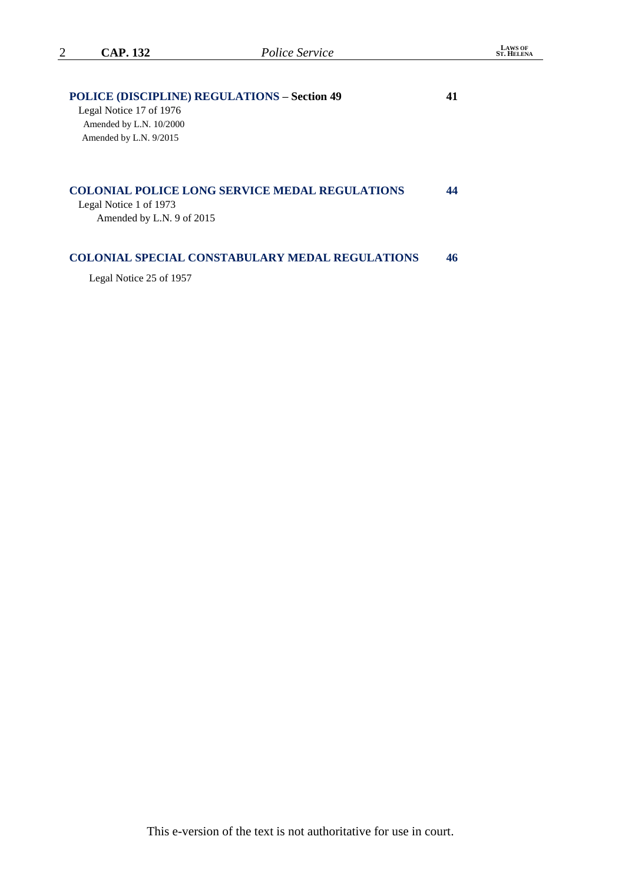| <b>CAP. 132</b>                                     | Police Service                                        |    |  |
|-----------------------------------------------------|-------------------------------------------------------|----|--|
| <b>POLICE (DISCIPLINE) REGULATIONS - Section 49</b> |                                                       | 41 |  |
| Legal Notice 17 of 1976                             |                                                       |    |  |
| Amended by L.N. 10/2000                             |                                                       |    |  |
| Amended by L.N. 9/2015                              |                                                       |    |  |
|                                                     |                                                       |    |  |
|                                                     |                                                       |    |  |
|                                                     | <b>COLONIAL POLICE LONG SERVICE MEDAL REGULATIONS</b> | 44 |  |
| Legal Notice 1 of 1973                              |                                                       |    |  |
| Amended by L.N. 9 of 2015                           |                                                       |    |  |
|                                                     |                                                       |    |  |
|                                                     |                                                       |    |  |

**LAWS OF ST. HELENA**

#### **COLONIAL SPECIAL CONSTABULARY MEDAL REGULATIONS 46**

Legal Notice 25 of 1957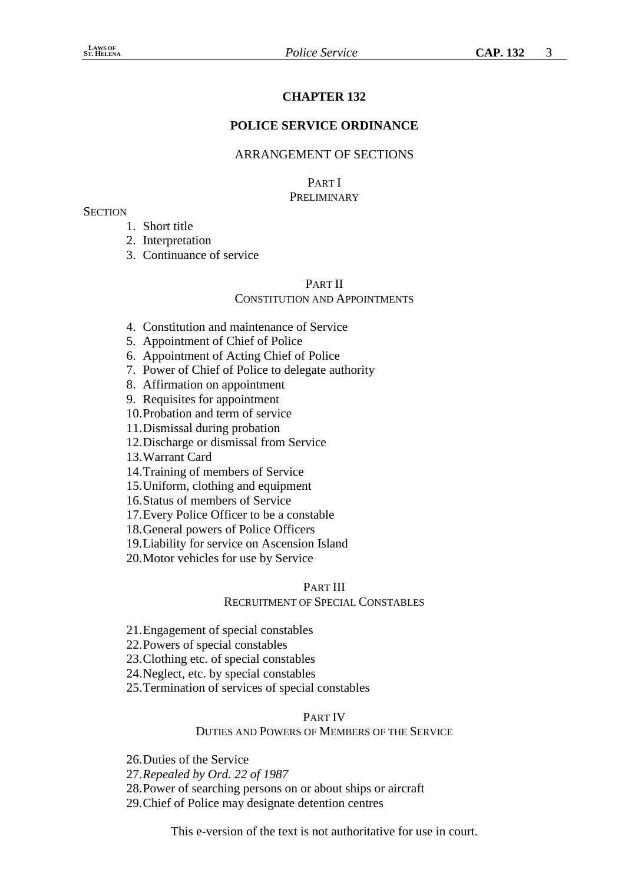# **CHAPTER 132**

## **POLICE SERVICE ORDINANCE**

### ARRANGEMENT OF SECTIONS

#### PART I **PRELIMINARY**

#### **SECTION**

- 1. Short title
- 2. Interpretation
- 3. Continuance of service

## PART II

## CONSTITUTION AND APPOINTMENTS

- 4. Constitution and maintenance of Service
- 5. Appointment of Chief of Police
- 6. Appointment of Acting Chief of Police
- 7. Power of Chief of Police to delegate authority
- 8. Affirmation on appointment
- 9. Requisites for appointment
- 10.Probation and term of service
- 11.Dismissal during probation
- 12.Discharge or dismissal from Service

13.Warrant Card

- 14.Training of members of Service
- 15.Uniform, clothing and equipment

16.Status of members of Service

17.Every Police Officer to be a constable

18.General powers of Police Officers

- 19.Liability for service on Ascension Island
- 20.Motor vehicles for use by Service

#### PART III

#### RECRUITMENT OF SPECIAL CONSTABLES

- 21.Engagement of special constables
- 22.Powers of special constables
- 23.Clothing etc. of special constables
- 24.Neglect, etc. by special constables
- 25.Termination of services of special constables

#### PART IV

#### DUTIES AND POWERS OF MEMBERS OF THE SERVICE

26.Duties of the Service

27.*Repealed by Ord. 22 of 1987*

28.Power of searching persons on or about ships or aircraft

29.Chief of Police may designate detention centres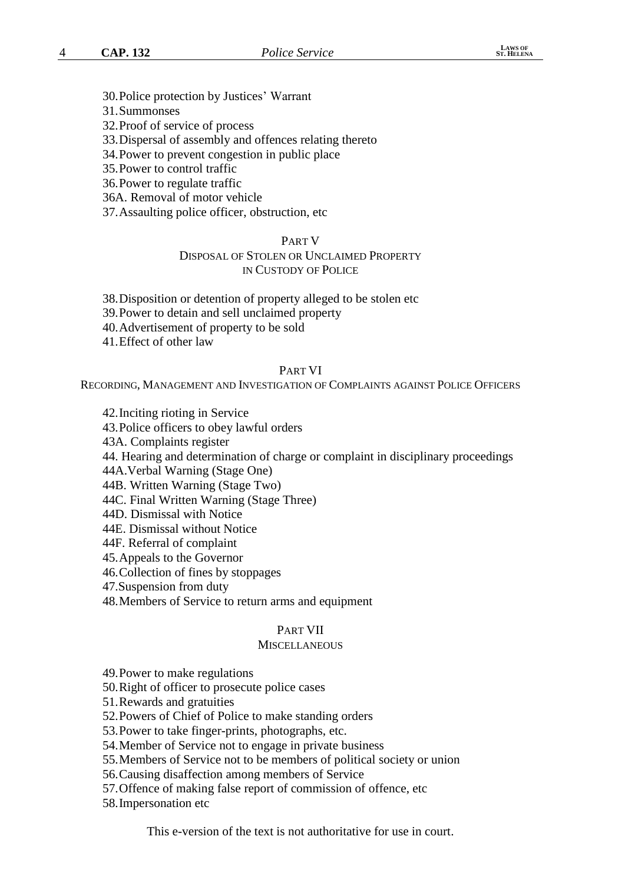- 30.Police protection by Justices' Warrant
- 31.Summonses
- 32.Proof of service of process
- 33.Dispersal of assembly and offences relating thereto
- 34.Power to prevent congestion in public place
- 35.Power to control traffic
- 36.Power to regulate traffic
- 36A. Removal of motor vehicle
- 37.Assaulting police officer, obstruction, etc

#### PART V

# DISPOSAL OF STOLEN OR UNCLAIMED PROPERTY

# IN CUSTODY OF POLICE

- 38.Disposition or detention of property alleged to be stolen etc
- 39.Power to detain and sell unclaimed property
- 40.Advertisement of property to be sold
- 41.Effect of other law

#### PART VI

RECORDING, MANAGEMENT AND INVESTIGATION OF COMPLAINTS AGAINST POLICE OFFICERS

42.Inciting rioting in Service

43.Police officers to obey lawful orders

43A. Complaints register

44. Hearing and determination of charge or complaint in disciplinary proceedings

44A.Verbal Warning (Stage One)

44B. Written Warning (Stage Two)

44C. Final Written Warning (Stage Three)

44D. Dismissal with Notice

- 44E. Dismissal without Notice
- 44F. Referral of complaint

45.Appeals to the Governor

46.Collection of fines by stoppages

47.Suspension from duty

48.Members of Service to return arms and equipment

#### PART VII

#### **MISCELLANEOUS**

49.Power to make regulations

50.Right of officer to prosecute police cases

51.Rewards and gratuities

52.Powers of Chief of Police to make standing orders

53.Power to take finger-prints, photographs, etc.

54.Member of Service not to engage in private business

55.Members of Service not to be members of political society or union

56.Causing disaffection among members of Service

57.Offence of making false report of commission of offence, etc

58.Impersonation etc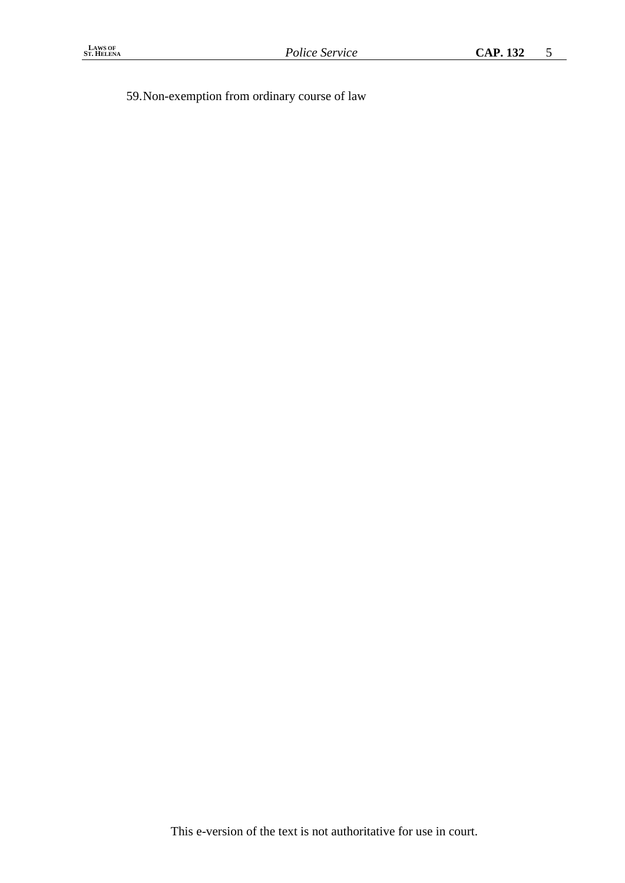59.Non-exemption from ordinary course of law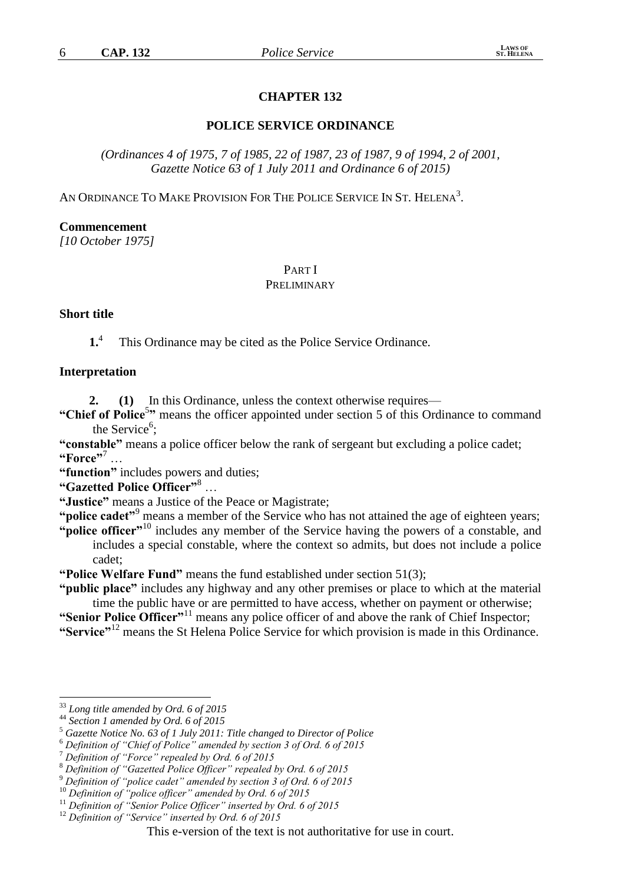# **CHAPTER 132**

# **POLICE SERVICE ORDINANCE**

*(Ordinances 4 of 1975, 7 of 1985, 22 of 1987, 23 of 1987, 9 of 1994, 2 of 2001, Gazette Notice 63 of 1 July 2011 and Ordinance 6 of 2015)*

AN ORDINANCE TO MAKE PROVISION FOR THE POLICE SERVICE IN ST. HELENA<sup>3</sup>.

#### **Commencement**

*[10 October 1975]*

#### PART I PRELIMINARY

#### **Short title**

**1.** 4 This Ordinance may be cited as the Police Service Ordinance.

#### **Interpretation**

**2. (1)** In this Ordinance, unless the context otherwise requires—

"Chief of Police<sup>5</sup>" means the officer appointed under section 5 of this Ordinance to command the Service<sup>6</sup>;

**"constable"** means a police officer below the rank of sergeant but excluding a police cadet; **"Force"**<sup>7</sup> …

**"function"** includes powers and duties;

**"Gazetted Police Officer"**<sup>8</sup> …

**"Justice"** means a Justice of the Peace or Magistrate;

"**police cadet**"<sup>9</sup> means a member of the Service who has not attained the age of eighteen years;

**"police officer"**<sup>10</sup> includes any member of the Service having the powers of a constable, and includes a special constable, where the context so admits, but does not include a police cadet;

**"Police Welfare Fund"** means the fund established under section 51(3);

**"public place"** includes any highway and any other premises or place to which at the material time the public have or are permitted to have access, whether on payment or otherwise;

**"Senior Police Officer"**<sup>11</sup> means any police officer of and above the rank of Chief Inspector; **"Service"**<sup>12</sup> means the St Helena Police Service for which provision is made in this Ordinance.

<sup>33</sup> *Long title amended by Ord. 6 of 2015*

<sup>44</sup> *Section 1 amended by Ord. 6 of 2015*

<sup>5</sup> *Gazette Notice No. 63 of 1 July 2011: Title changed to Director of Police*

<sup>6</sup> *Definition of "Chief of Police" amended by section 3 of Ord. 6 of 2015*

<sup>7</sup> *Definition of "Force" repealed by Ord. 6 of 2015*

<sup>8</sup> *Definition of "Gazetted Police Officer" repealed by Ord. 6 of 2015*

<sup>9</sup> *Definition of "police cadet" amended by section 3 of Ord. 6 of 2015*

<sup>10</sup> *Definition of "police officer" amended by Ord. 6 of 2015*

<sup>11</sup> *Definition of "Senior Police Officer" inserted by Ord. 6 of 2015*

<sup>12</sup> *Definition of "Service" inserted by Ord. 6 of 2015*

This e-version of the text is not authoritative for use in court.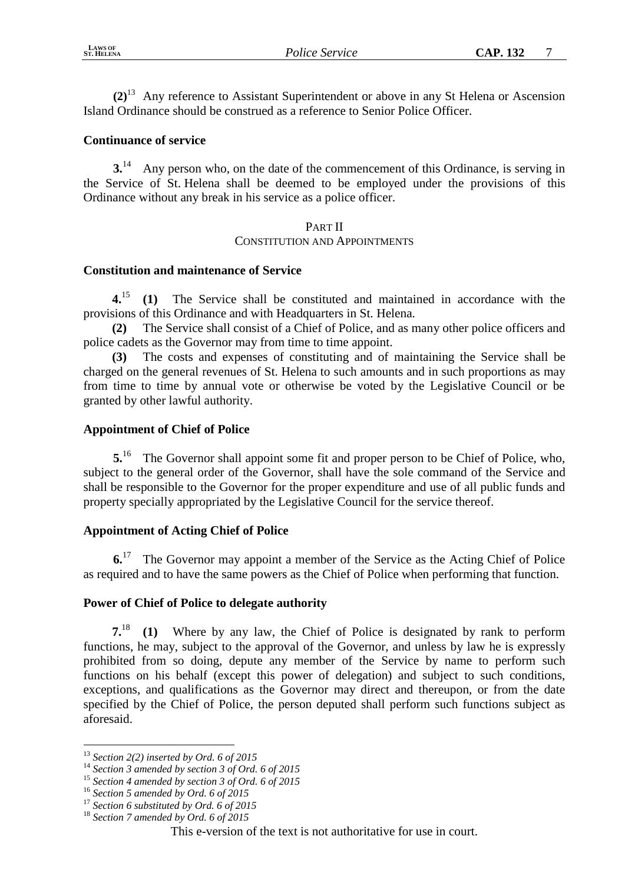**(2)**<sup>13</sup> Any reference to Assistant Superintendent or above in any St Helena or Ascension Island Ordinance should be construed as a reference to Senior Police Officer.

# **Continuance of service**

**3.**<sup>14</sup> Any person who, on the date of the commencement of this Ordinance, is serving in the Service of St. Helena shall be deemed to be employed under the provisions of this Ordinance without any break in his service as a police officer.

#### PART II CONSTITUTION AND APPOINTMENTS

# **Constitution and maintenance of Service**

**4.**<sup>15</sup> **(1)** The Service shall be constituted and maintained in accordance with the provisions of this Ordinance and with Headquarters in St. Helena.

**(2)** The Service shall consist of a Chief of Police, and as many other police officers and police cadets as the Governor may from time to time appoint.

**(3)** The costs and expenses of constituting and of maintaining the Service shall be charged on the general revenues of St. Helena to such amounts and in such proportions as may from time to time by annual vote or otherwise be voted by the Legislative Council or be granted by other lawful authority.

# **Appointment of Chief of Police**

**5.**<sup>16</sup> The Governor shall appoint some fit and proper person to be Chief of Police, who, subject to the general order of the Governor, shall have the sole command of the Service and shall be responsible to the Governor for the proper expenditure and use of all public funds and property specially appropriated by the Legislative Council for the service thereof.

# **Appointment of Acting Chief of Police**

**6.**<sup>17</sup> The Governor may appoint a member of the Service as the Acting Chief of Police as required and to have the same powers as the Chief of Police when performing that function.

## **Power of Chief of Police to delegate authority**

**7.**<sup>18</sup> **(1)** Where by any law, the Chief of Police is designated by rank to perform functions, he may, subject to the approval of the Governor, and unless by law he is expressly prohibited from so doing, depute any member of the Service by name to perform such functions on his behalf (except this power of delegation) and subject to such conditions, exceptions, and qualifications as the Governor may direct and thereupon, or from the date specified by the Chief of Police, the person deputed shall perform such functions subject as aforesaid.

<sup>13</sup> *Section 2(2) inserted by Ord. 6 of 2015*

<sup>14</sup> *Section 3 amended by section 3 of Ord. 6 of 2015*

<sup>15</sup> *Section 4 amended by section 3 of Ord. 6 of 2015*

<sup>16</sup> *Section 5 amended by Ord. 6 of 2015*

<sup>17</sup> *Section 6 substituted by Ord. 6 of 2015*

<sup>18</sup> *Section 7 amended by Ord. 6 of 2015*

This e-version of the text is not authoritative for use in court.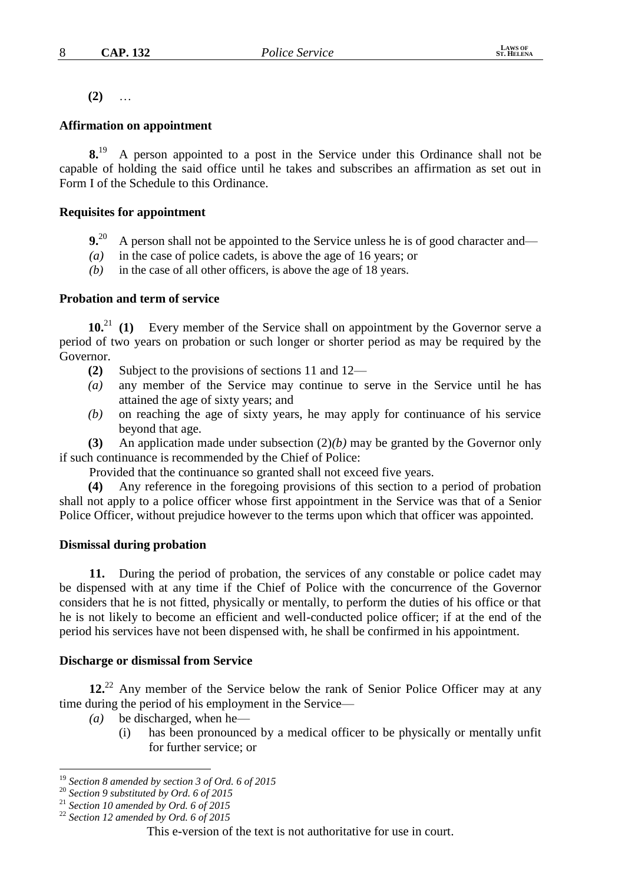**(2)** …

#### **Affirmation on appointment**

**8.**<sup>19</sup> A person appointed to a post in the Service under this Ordinance shall not be capable of holding the said office until he takes and subscribes an affirmation as set out in Form I of the Schedule to this Ordinance.

#### **Requisites for appointment**

- **9.**<sup>20</sup> A person shall not be appointed to the Service unless he is of good character and—
- *(a)* in the case of police cadets, is above the age of 16 years; or
- *(b)* in the case of all other officers, is above the age of 18 years.

#### **Probation and term of service**

**10.**<sup>21</sup> **(1)** Every member of the Service shall on appointment by the Governor serve a period of two years on probation or such longer or shorter period as may be required by the Governor.

- **(2)** Subject to the provisions of sections 11 and 12—
- *(a)* any member of the Service may continue to serve in the Service until he has attained the age of sixty years; and
- *(b)* on reaching the age of sixty years, he may apply for continuance of his service beyond that age.

**(3)** An application made under subsection (2)*(b)* may be granted by the Governor only if such continuance is recommended by the Chief of Police:

Provided that the continuance so granted shall not exceed five years.

**(4)** Any reference in the foregoing provisions of this section to a period of probation shall not apply to a police officer whose first appointment in the Service was that of a Senior Police Officer, without prejudice however to the terms upon which that officer was appointed.

## **Dismissal during probation**

**11.** During the period of probation, the services of any constable or police cadet may be dispensed with at any time if the Chief of Police with the concurrence of the Governor considers that he is not fitted, physically or mentally, to perform the duties of his office or that he is not likely to become an efficient and well-conducted police officer; if at the end of the period his services have not been dispensed with, he shall be confirmed in his appointment.

## **Discharge or dismissal from Service**

**12.**<sup>22</sup> Any member of the Service below the rank of Senior Police Officer may at any time during the period of his employment in the Service—

- *(a)* be discharged, when he—
	- (i) has been pronounced by a medical officer to be physically or mentally unfit for further service; or

<sup>19</sup> *Section 8 amended by section 3 of Ord. 6 of 2015*

<sup>20</sup> *Section 9 substituted by Ord. 6 of 2015*

<sup>21</sup> *Section 10 amended by Ord. 6 of 2015*

<sup>22</sup> *Section 12 amended by Ord. 6 of 2015*

This e-version of the text is not authoritative for use in court.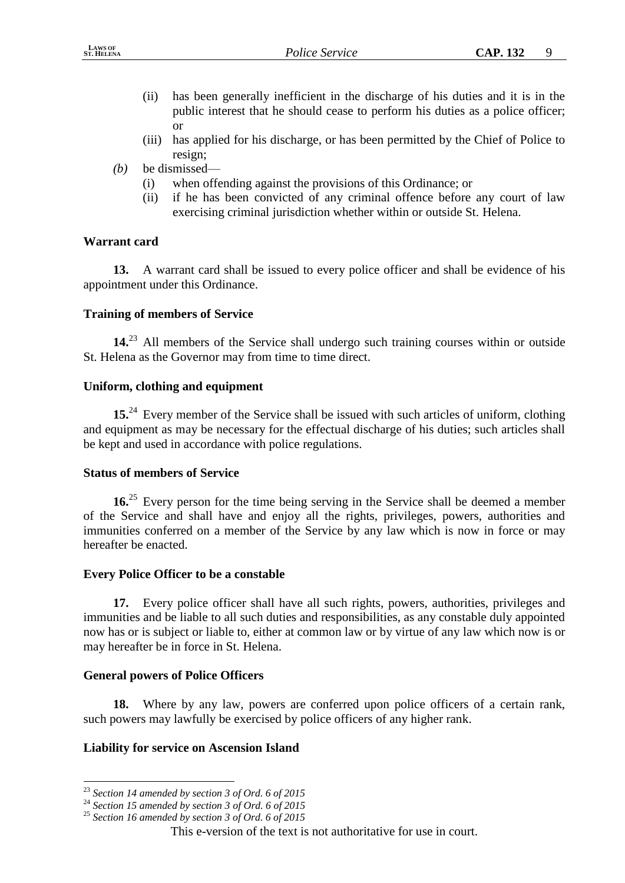- (ii) has been generally inefficient in the discharge of his duties and it is in the public interest that he should cease to perform his duties as a police officer; or
- (iii) has applied for his discharge, or has been permitted by the Chief of Police to resign;
- *(b)* be dismissed—
	- (i) when offending against the provisions of this Ordinance; or
	- (ii) if he has been convicted of any criminal offence before any court of law exercising criminal jurisdiction whether within or outside St. Helena.

## **Warrant card**

**13.** A warrant card shall be issued to every police officer and shall be evidence of his appointment under this Ordinance.

## **Training of members of Service**

**14.**<sup>23</sup> All members of the Service shall undergo such training courses within or outside St. Helena as the Governor may from time to time direct.

# **Uniform, clothing and equipment**

**15.**<sup>24</sup> Every member of the Service shall be issued with such articles of uniform, clothing and equipment as may be necessary for the effectual discharge of his duties; such articles shall be kept and used in accordance with police regulations.

## **Status of members of Service**

**16.**<sup>25</sup> Every person for the time being serving in the Service shall be deemed a member of the Service and shall have and enjoy all the rights, privileges, powers, authorities and immunities conferred on a member of the Service by any law which is now in force or may hereafter be enacted.

## **Every Police Officer to be a constable**

**17.** Every police officer shall have all such rights, powers, authorities, privileges and immunities and be liable to all such duties and responsibilities, as any constable duly appointed now has or is subject or liable to, either at common law or by virtue of any law which now is or may hereafter be in force in St. Helena.

# **General powers of Police Officers**

**18.** Where by any law, powers are conferred upon police officers of a certain rank, such powers may lawfully be exercised by police officers of any higher rank.

# **Liability for service on Ascension Island**

<sup>&</sup>lt;u>.</u> <sup>23</sup> *Section 14 amended by section 3 of Ord. 6 of 2015*

<sup>24</sup> *Section 15 amended by section 3 of Ord. 6 of 2015*

<sup>25</sup> *Section 16 amended by section 3 of Ord. 6 of 2015*

This e-version of the text is not authoritative for use in court.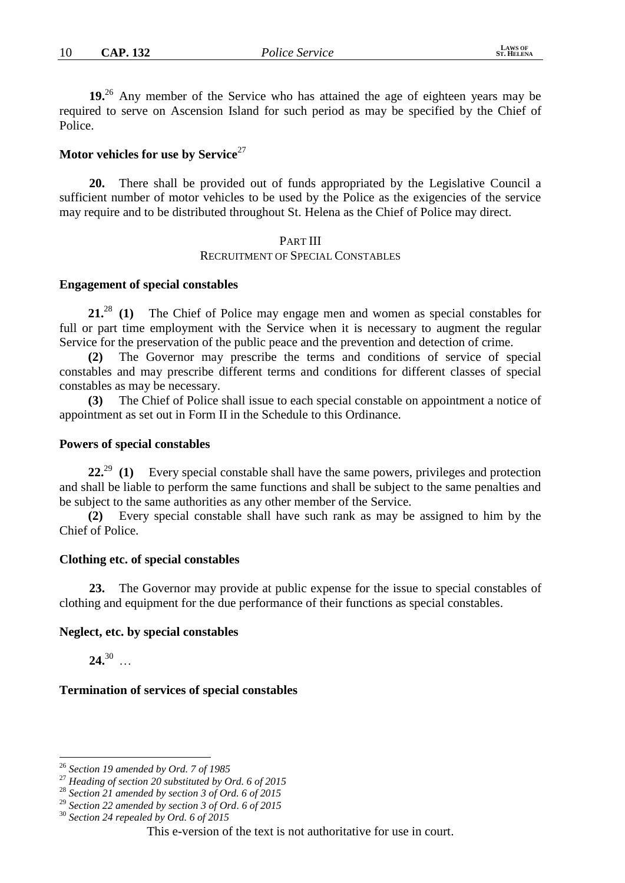**19.**<sup>26</sup> Any member of the Service who has attained the age of eighteen years may be required to serve on Ascension Island for such period as may be specified by the Chief of Police.

# **Motor vehicles for use by Service**<sup>27</sup>

**20.** There shall be provided out of funds appropriated by the Legislative Council a sufficient number of motor vehicles to be used by the Police as the exigencies of the service may require and to be distributed throughout St. Helena as the Chief of Police may direct.

# PART III

#### RECRUITMENT OF SPECIAL CONSTABLES

#### **Engagement of special constables**

**21.**<sup>28</sup> **(1)** The Chief of Police may engage men and women as special constables for full or part time employment with the Service when it is necessary to augment the regular Service for the preservation of the public peace and the prevention and detection of crime.

**(2)** The Governor may prescribe the terms and conditions of service of special constables and may prescribe different terms and conditions for different classes of special constables as may be necessary.

**(3)** The Chief of Police shall issue to each special constable on appointment a notice of appointment as set out in Form II in the Schedule to this Ordinance.

#### **Powers of special constables**

**22.**<sup>29</sup> **(1)** Every special constable shall have the same powers, privileges and protection and shall be liable to perform the same functions and shall be subject to the same penalties and be subject to the same authorities as any other member of the Service.

**(2)** Every special constable shall have such rank as may be assigned to him by the Chief of Police.

#### **Clothing etc. of special constables**

**23.** The Governor may provide at public expense for the issue to special constables of clothing and equipment for the due performance of their functions as special constables.

#### **Neglect, etc. by special constables**

 $24.30$ 

<u>.</u>

#### **Termination of services of special constables**

<sup>26</sup> *Section 19 amended by Ord. 7 of 1985*

<sup>27</sup> *Heading of section 20 substituted by Ord. 6 of 2015*

<sup>28</sup> *Section 21 amended by section 3 of Ord. 6 of 2015*

<sup>29</sup> *Section 22 amended by section 3 of Ord. 6 of 2015*

<sup>30</sup> *Section 24 repealed by Ord. 6 of 2015*

This e-version of the text is not authoritative for use in court.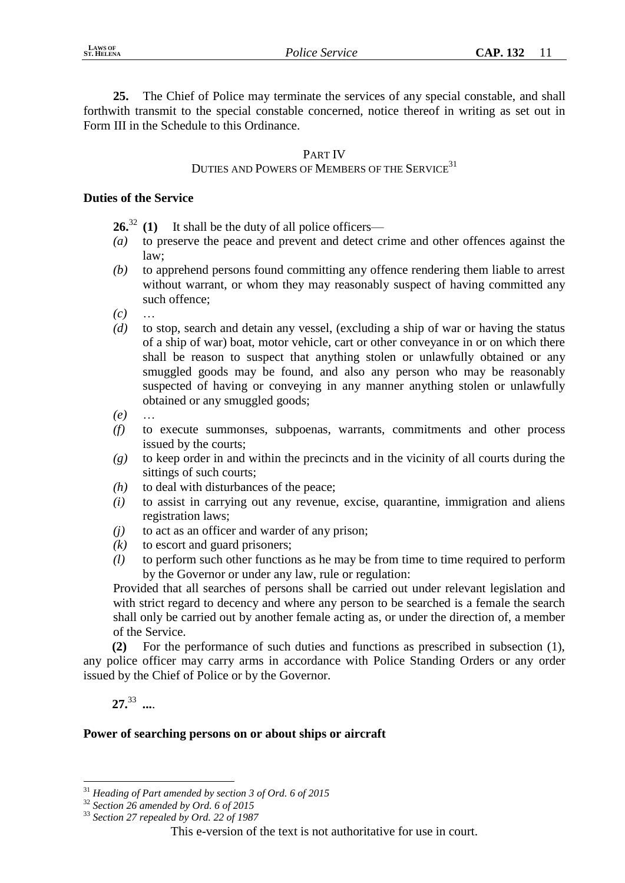**25.** The Chief of Police may terminate the services of any special constable, and shall forthwith transmit to the special constable concerned, notice thereof in writing as set out in Form III in the Schedule to this Ordinance.

# PART IV

# DUTIES AND POWERS OF MEMBERS OF THE SERVICE<sup>31</sup>

## **Duties of the Service**

**26.**<sup>32</sup> **(1)** It shall be the duty of all police officers—

- *(a)* to preserve the peace and prevent and detect crime and other offences against the law;
- *(b)* to apprehend persons found committing any offence rendering them liable to arrest without warrant, or whom they may reasonably suspect of having committed any such offence;
- *(c)* …
- *(d)* to stop, search and detain any vessel, (excluding a ship of war or having the status of a ship of war) boat, motor vehicle, cart or other conveyance in or on which there shall be reason to suspect that anything stolen or unlawfully obtained or any smuggled goods may be found, and also any person who may be reasonably suspected of having or conveying in any manner anything stolen or unlawfully obtained or any smuggled goods;
- *(e)* …
- *(f)* to execute summonses, subpoenas, warrants, commitments and other process issued by the courts;
- *(g)* to keep order in and within the precincts and in the vicinity of all courts during the sittings of such courts;
- *(h)* to deal with disturbances of the peace;
- *(i)* to assist in carrying out any revenue, excise, quarantine, immigration and aliens registration laws;
- *(j)* to act as an officer and warder of any prison;
- *(k)* to escort and guard prisoners;
- *(l)* to perform such other functions as he may be from time to time required to perform by the Governor or under any law, rule or regulation:

Provided that all searches of persons shall be carried out under relevant legislation and with strict regard to decency and where any person to be searched is a female the search shall only be carried out by another female acting as, or under the direction of, a member of the Service.

**(2)** For the performance of such duties and functions as prescribed in subsection (1), any police officer may carry arms in accordance with Police Standing Orders or any order issued by the Chief of Police or by the Governor.

**27.**<sup>33</sup> *....*

<u>.</u>

# **Power of searching persons on or about ships or aircraft**

<sup>31</sup> *Heading of Part amended by section 3 of Ord. 6 of 2015*

<sup>32</sup> *Section 26 amended by Ord. 6 of 2015*

<sup>33</sup> *Section 27 repealed by Ord. 22 of 1987*

This e-version of the text is not authoritative for use in court.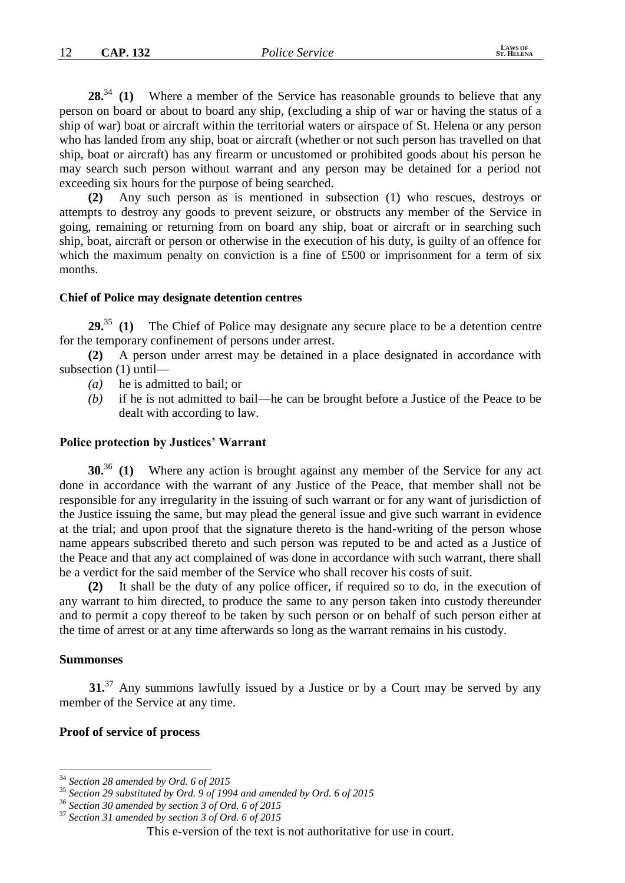28.<sup>34</sup> **(1)** Where a member of the Service has reasonable grounds to believe that any person on board or about to board any ship, (excluding a ship of war or having the status of a ship of war) boat or aircraft within the territorial waters or airspace of St. Helena or any person who has landed from any ship, boat or aircraft (whether or not such person has travelled on that ship, boat or aircraft) has any firearm or uncustomed or prohibited goods about his person he may search such person without warrant and any person may be detained for a period not exceeding six hours for the purpose of being searched.

**(2)** Any such person as is mentioned in subsection (1) who rescues, destroys or attempts to destroy any goods to prevent seizure, or obstructs any member of the Service in going, remaining or returning from on board any ship, boat or aircraft or in searching such ship, boat, aircraft or person or otherwise in the execution of his duty, is guilty of an offence for which the maximum penalty on conviction is a fine of £500 or imprisonment for a term of six months.

#### **Chief of Police may designate detention centres**

**29.**<sup>35</sup> **(1)** The Chief of Police may designate any secure place to be a detention centre for the temporary confinement of persons under arrest.

**(2)** A person under arrest may be detained in a place designated in accordance with subsection (1) until—

- *(a)* he is admitted to bail; or
- *(b)* if he is not admitted to bail—he can be brought before a Justice of the Peace to be dealt with according to law.

#### **Police protection by Justices' Warrant**

**30.**<sup>36</sup> **(1)** Where any action is brought against any member of the Service for any act done in accordance with the warrant of any Justice of the Peace, that member shall not be responsible for any irregularity in the issuing of such warrant or for any want of jurisdiction of the Justice issuing the same, but may plead the general issue and give such warrant in evidence at the trial; and upon proof that the signature thereto is the hand-writing of the person whose name appears subscribed thereto and such person was reputed to be and acted as a Justice of the Peace and that any act complained of was done in accordance with such warrant, there shall be a verdict for the said member of the Service who shall recover his costs of suit.

**(2)** It shall be the duty of any police officer, if required so to do, in the execution of any warrant to him directed, to produce the same to any person taken into custody thereunder and to permit a copy thereof to be taken by such person or on behalf of such person either at the time of arrest or at any time afterwards so long as the warrant remains in his custody.

#### **Summonses**

1

**31.**<sup>37</sup> Any summons lawfully issued by a Justice or by a Court may be served by any member of the Service at any time.

#### **Proof of service of process**

<sup>34</sup> *Section 28 amended by Ord. 6 of 2015*

<sup>35</sup> *Section 29 substituted by Ord. 9 of 1994 and amended by Ord. 6 of 2015*

<sup>36</sup> *Section 30 amended by section 3 of Ord. 6 of 2015*

<sup>37</sup> *Section 31 amended by section 3 of Ord. 6 of 2015*

This e-version of the text is not authoritative for use in court.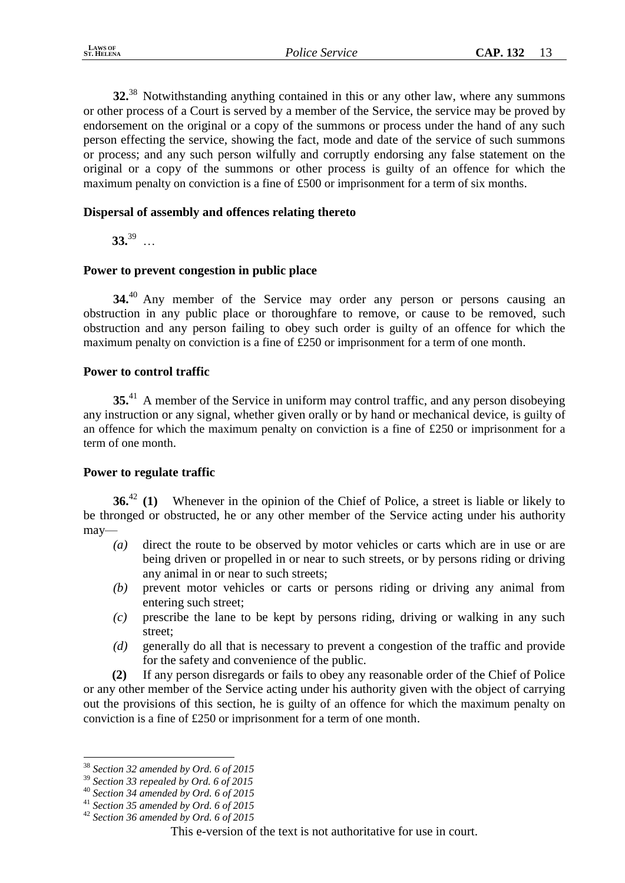**32.**<sup>38</sup> Notwithstanding anything contained in this or any other law, where any summons or other process of a Court is served by a member of the Service, the service may be proved by endorsement on the original or a copy of the summons or process under the hand of any such person effecting the service, showing the fact, mode and date of the service of such summons or process; and any such person wilfully and corruptly endorsing any false statement on the original or a copy of the summons or other process is guilty of an offence for which the maximum penalty on conviction is a fine of £500 or imprisonment for a term of six months.

## **Dispersal of assembly and offences relating thereto**

 $33.39$  …

# **Power to prevent congestion in public place**

**34.**<sup>40</sup> Any member of the Service may order any person or persons causing an obstruction in any public place or thoroughfare to remove, or cause to be removed, such obstruction and any person failing to obey such order is guilty of an offence for which the maximum penalty on conviction is a fine of £250 or imprisonment for a term of one month.

## **Power to control traffic**

**35.**<sup>41</sup> A member of the Service in uniform may control traffic, and any person disobeying any instruction or any signal, whether given orally or by hand or mechanical device, is guilty of an offence for which the maximum penalty on conviction is a fine of £250 or imprisonment for a term of one month.

## **Power to regulate traffic**

**36.**<sup>42</sup> **(1)** Whenever in the opinion of the Chief of Police, a street is liable or likely to be thronged or obstructed, he or any other member of the Service acting under his authority may—

- *(a)* direct the route to be observed by motor vehicles or carts which are in use or are being driven or propelled in or near to such streets, or by persons riding or driving any animal in or near to such streets;
- *(b)* prevent motor vehicles or carts or persons riding or driving any animal from entering such street;
- *(c)* prescribe the lane to be kept by persons riding, driving or walking in any such street;
- *(d)* generally do all that is necessary to prevent a congestion of the traffic and provide for the safety and convenience of the public.

**(2)** If any person disregards or fails to obey any reasonable order of the Chief of Police or any other member of the Service acting under his authority given with the object of carrying out the provisions of this section, he is guilty of an offence for which the maximum penalty on conviction is a fine of £250 or imprisonment for a term of one month.

<u>.</u>

<sup>38</sup> *Section 32 amended by Ord. 6 of 2015*

<sup>39</sup> *Section 33 repealed by Ord. 6 of 2015*

<sup>40</sup> *Section 34 amended by Ord. 6 of 2015*

<sup>41</sup> *Section 35 amended by Ord. 6 of 2015*

<sup>42</sup> *Section 36 amended by Ord. 6 of 2015*

This e-version of the text is not authoritative for use in court.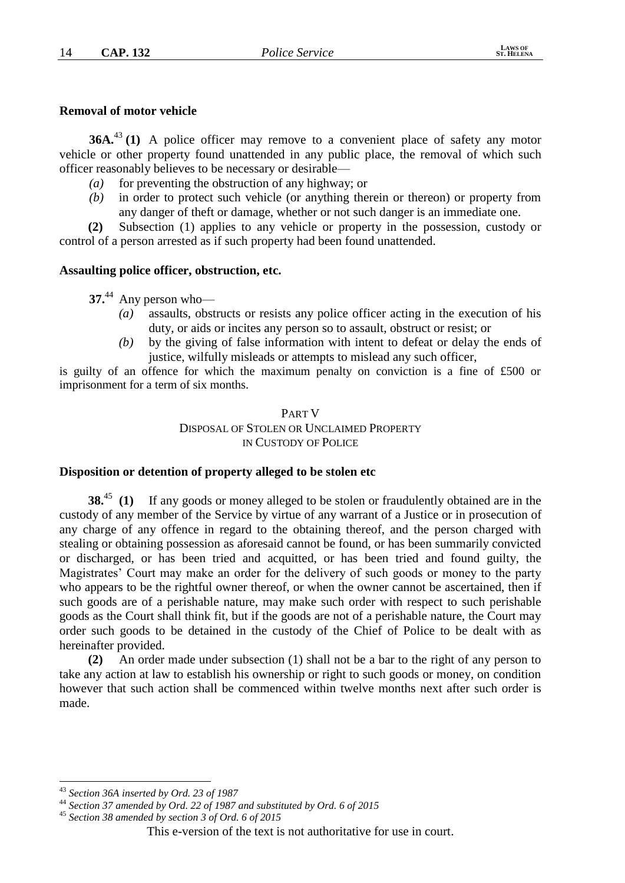#### **Removal of motor vehicle**

**36A.**<sup>43</sup> **(1)** A police officer may remove to a convenient place of safety any motor vehicle or other property found unattended in any public place, the removal of which such officer reasonably believes to be necessary or desirable—

- *(a)* for preventing the obstruction of any highway; or
- *(b)* in order to protect such vehicle (or anything therein or thereon) or property from any danger of theft or damage, whether or not such danger is an immediate one.

**(2)** Subsection (1) applies to any vehicle or property in the possession, custody or control of a person arrested as if such property had been found unattended.

#### **Assaulting police officer, obstruction, etc.**

**37.**<sup>44</sup> Any person who—

- assaults, obstructs or resists any police officer acting in the execution of his duty, or aids or incites any person so to assault, obstruct or resist; or
- *(b)* by the giving of false information with intent to defeat or delay the ends of justice, wilfully misleads or attempts to mislead any such officer,

is guilty of an offence for which the maximum penalty on conviction is a fine of £500 or imprisonment for a term of six months.

## PART V DISPOSAL OF STOLEN OR UNCLAIMED PROPERTY IN CUSTODY OF POLICE

## **Disposition or detention of property alleged to be stolen etc**

**38.**<sup>45</sup> **(1)** If any goods or money alleged to be stolen or fraudulently obtained are in the custody of any member of the Service by virtue of any warrant of a Justice or in prosecution of any charge of any offence in regard to the obtaining thereof, and the person charged with stealing or obtaining possession as aforesaid cannot be found, or has been summarily convicted or discharged, or has been tried and acquitted, or has been tried and found guilty, the Magistrates' Court may make an order for the delivery of such goods or money to the party who appears to be the rightful owner thereof, or when the owner cannot be ascertained, then if such goods are of a perishable nature, may make such order with respect to such perishable goods as the Court shall think fit, but if the goods are not of a perishable nature, the Court may order such goods to be detained in the custody of the Chief of Police to be dealt with as hereinafter provided.

**(2)** An order made under subsection (1) shall not be a bar to the right of any person to take any action at law to establish his ownership or right to such goods or money, on condition however that such action shall be commenced within twelve months next after such order is made.

<sup>&</sup>lt;u>.</u> <sup>43</sup> *Section 36A inserted by Ord. 23 of 1987*

<sup>44</sup> *Section 37 amended by Ord. 22 of 1987 and substituted by Ord. 6 of 2015*

<sup>45</sup> *Section 38 amended by section 3 of Ord. 6 of 2015*

This e-version of the text is not authoritative for use in court.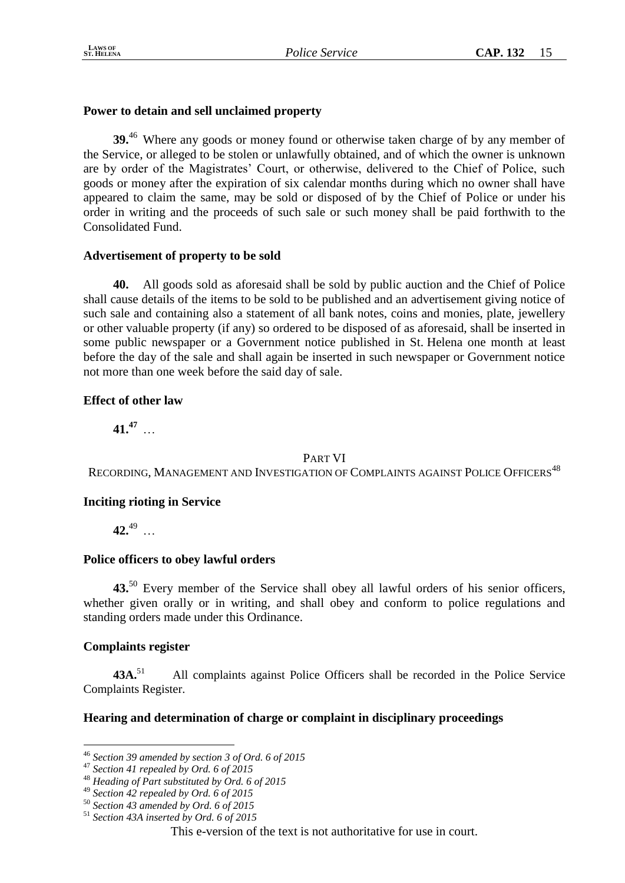# **Power to detain and sell unclaimed property**

**39.**<sup>46</sup> Where any goods or money found or otherwise taken charge of by any member of the Service, or alleged to be stolen or unlawfully obtained, and of which the owner is unknown are by order of the Magistrates' Court, or otherwise, delivered to the Chief of Police, such goods or money after the expiration of six calendar months during which no owner shall have appeared to claim the same, may be sold or disposed of by the Chief of Police or under his order in writing and the proceeds of such sale or such money shall be paid forthwith to the Consolidated Fund.

# **Advertisement of property to be sold**

**40.** All goods sold as aforesaid shall be sold by public auction and the Chief of Police shall cause details of the items to be sold to be published and an advertisement giving notice of such sale and containing also a statement of all bank notes, coins and monies, plate, jewellery or other valuable property (if any) so ordered to be disposed of as aforesaid, shall be inserted in some public newspaper or a Government notice published in St. Helena one month at least before the day of the sale and shall again be inserted in such newspaper or Government notice not more than one week before the said day of sale.

# **Effect of other law**

**41.<sup>47</sup>** …

## PART VI

RECORDING, MANAGEMENT AND INVESTIGATION OF COMPLAINTS AGAINST POLICE OFFICERS<sup>48</sup>

# **Inciting rioting in Service**

**42.**<sup>49</sup> …

## **Police officers to obey lawful orders**

**43.**<sup>50</sup> Every member of the Service shall obey all lawful orders of his senior officers, whether given orally or in writing, and shall obey and conform to police regulations and standing orders made under this Ordinance.

## **Complaints register**

1

43A.<sup>51</sup> All complaints against Police Officers shall be recorded in the Police Service Complaints Register.

# **Hearing and determination of charge or complaint in disciplinary proceedings**

<sup>46</sup> *Section 39 amended by section 3 of Ord. 6 of 2015*

<sup>47</sup> *Section 41 repealed by Ord. 6 of 2015*

<sup>48</sup> *Heading of Part substituted by Ord. 6 of 2015*

<sup>49</sup> *Section 42 repealed by Ord. 6 of 2015*

<sup>50</sup> *Section 43 amended by Ord. 6 of 2015*

<sup>51</sup> *Section 43A inserted by Ord. 6 of 2015*

This e-version of the text is not authoritative for use in court.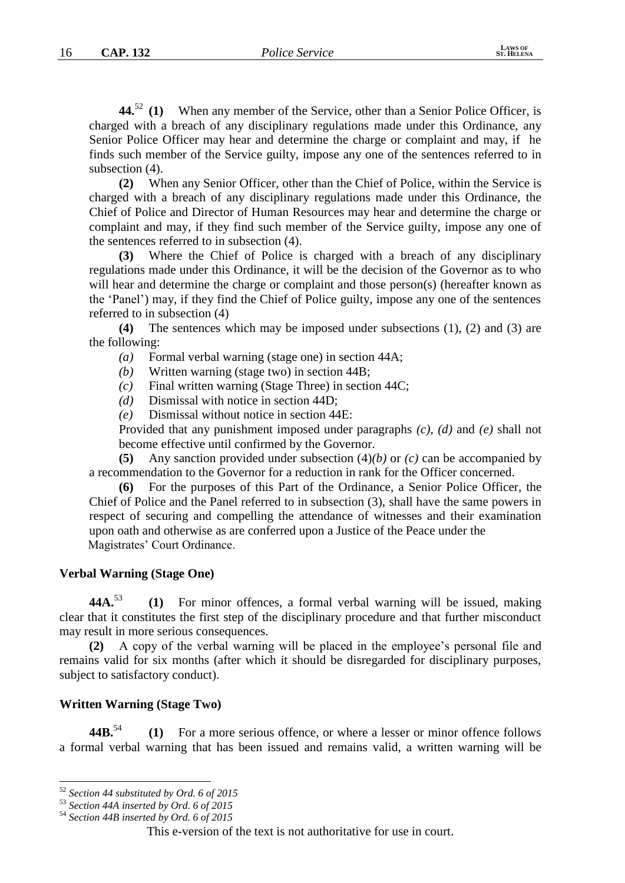**44.** <sup>52</sup> **(1)** When any member of the Service, other than a Senior Police Officer, is charged with a breach of any disciplinary regulations made under this Ordinance, any Senior Police Officer may hear and determine the charge or complaint and may, if he finds such member of the Service guilty, impose any one of the sentences referred to in subsection (4).

**(2)** When any Senior Officer, other than the Chief of Police, within the Service is charged with a breach of any disciplinary regulations made under this Ordinance, the Chief of Police and Director of Human Resources may hear and determine the charge or complaint and may, if they find such member of the Service guilty, impose any one of the sentences referred to in subsection (4).

**(3)** Where the Chief of Police is charged with a breach of any disciplinary regulations made under this Ordinance, it will be the decision of the Governor as to who will hear and determine the charge or complaint and those person(s) (hereafter known as the 'Panel') may, if they find the Chief of Police guilty, impose any one of the sentences referred to in subsection (4)

**(4)** The sentences which may be imposed under subsections (1), (2) and (3) are the following:

- *(a)* Formal verbal warning (stage one) in section 44A;
- *(b)* Written warning (stage two) in section 44B;
- *(c)* Final written warning (Stage Three) in section 44C;
- *(d)* Dismissal with notice in section 44D;
- *(e)* Dismissal without notice in section 44E:

Provided that any punishment imposed under paragraphs *(c)*, *(d)* and *(e)* shall not become effective until confirmed by the Governor.

**(5)** Any sanction provided under subsection (4)*(b)* or *(c)* can be accompanied by a recommendation to the Governor for a reduction in rank for the Officer concerned.

**(6)** For the purposes of this Part of the Ordinance, a Senior Police Officer, the Chief of Police and the Panel referred to in subsection (3), shall have the same powers in respect of securing and compelling the attendance of witnesses and their examination upon oath and otherwise as are conferred upon a Justice of the Peace under the Magistrates' Court Ordinance.

#### **Verbal Warning (Stage One)**

**44A.**<sup>53</sup> **(1)** For minor offences, a formal verbal warning will be issued, making clear that it constitutes the first step of the disciplinary procedure and that further misconduct may result in more serious consequences.

**(2)** A copy of the verbal warning will be placed in the employee's personal file and remains valid for six months (after which it should be disregarded for disciplinary purposes, subject to satisfactory conduct).

#### **Written Warning (Stage Two)**

**44B.**<sup>54</sup> **(1)** For a more serious offence, or where a lesser or minor offence follows a formal verbal warning that has been issued and remains valid, a written warning will be

<u>.</u>

<sup>54</sup> *Section 44B inserted by Ord. 6 of 2015*

<sup>52</sup> *Section 44 substituted by Ord. 6 of 2015*

<sup>53</sup> *Section 44A inserted by Ord. 6 of 2015*

This e-version of the text is not authoritative for use in court.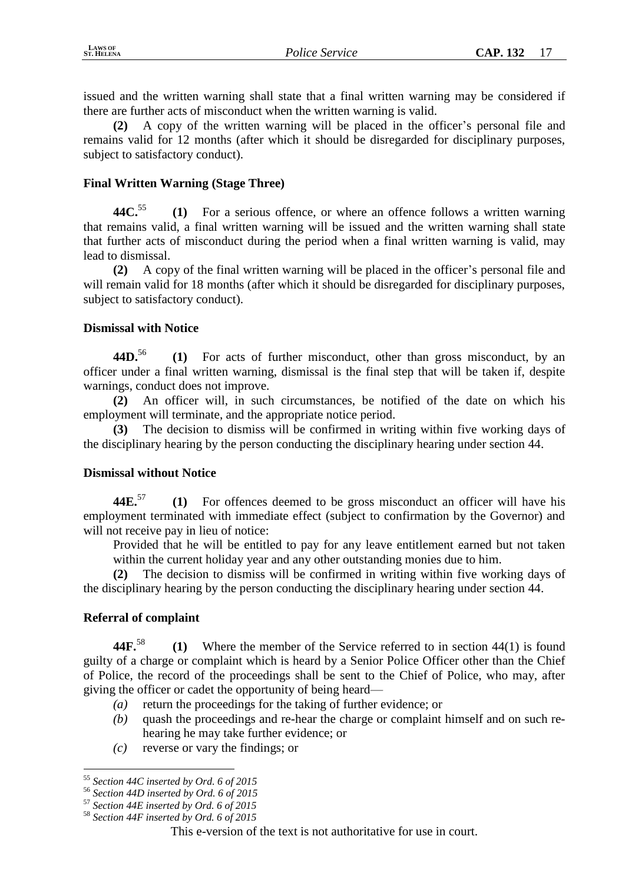issued and the written warning shall state that a final written warning may be considered if there are further acts of misconduct when the written warning is valid.

**(2)** A copy of the written warning will be placed in the officer's personal file and remains valid for 12 months (after which it should be disregarded for disciplinary purposes, subject to satisfactory conduct).

# **Final Written Warning (Stage Three)**

**44C.**<sup>55</sup> **(1)** For a serious offence, or where an offence follows a written warning that remains valid, a final written warning will be issued and the written warning shall state that further acts of misconduct during the period when a final written warning is valid, may lead to dismissal.

**(2)** A copy of the final written warning will be placed in the officer's personal file and will remain valid for 18 months (after which it should be disregarded for disciplinary purposes, subject to satisfactory conduct).

## **Dismissal with Notice**

**44D.**<sup>56</sup> **(1)** For acts of further misconduct, other than gross misconduct, by an officer under a final written warning, dismissal is the final step that will be taken if, despite warnings, conduct does not improve.

**(2)** An officer will, in such circumstances, be notified of the date on which his employment will terminate, and the appropriate notice period.

**(3)** The decision to dismiss will be confirmed in writing within five working days of the disciplinary hearing by the person conducting the disciplinary hearing under section 44.

## **Dismissal without Notice**

**44E.**<sup>57</sup> **(1)** For offences deemed to be gross misconduct an officer will have his employment terminated with immediate effect (subject to confirmation by the Governor) and will not receive pay in lieu of notice:

Provided that he will be entitled to pay for any leave entitlement earned but not taken within the current holiday year and any other outstanding monies due to him.

**(2)** The decision to dismiss will be confirmed in writing within five working days of the disciplinary hearing by the person conducting the disciplinary hearing under section 44.

# **Referral of complaint**

**44F.**<sup>58</sup> **(1)** Where the member of the Service referred to in section 44(1) is found guilty of a charge or complaint which is heard by a Senior Police Officer other than the Chief of Police, the record of the proceedings shall be sent to the Chief of Police, who may, after giving the officer or cadet the opportunity of being heard—

- *(a)* return the proceedings for the taking of further evidence; or
- *(b)* quash the proceedings and re-hear the charge or complaint himself and on such rehearing he may take further evidence; or
- *(c)* reverse or vary the findings; or

<sup>1</sup> <sup>55</sup> *Section 44C inserted by Ord. 6 of 2015*

<sup>56</sup> *Section 44D inserted by Ord. 6 of 2015*

<sup>57</sup> *Section 44E inserted by Ord. 6 of 2015*

<sup>58</sup> *Section 44F inserted by Ord. 6 of 2015*

This e-version of the text is not authoritative for use in court.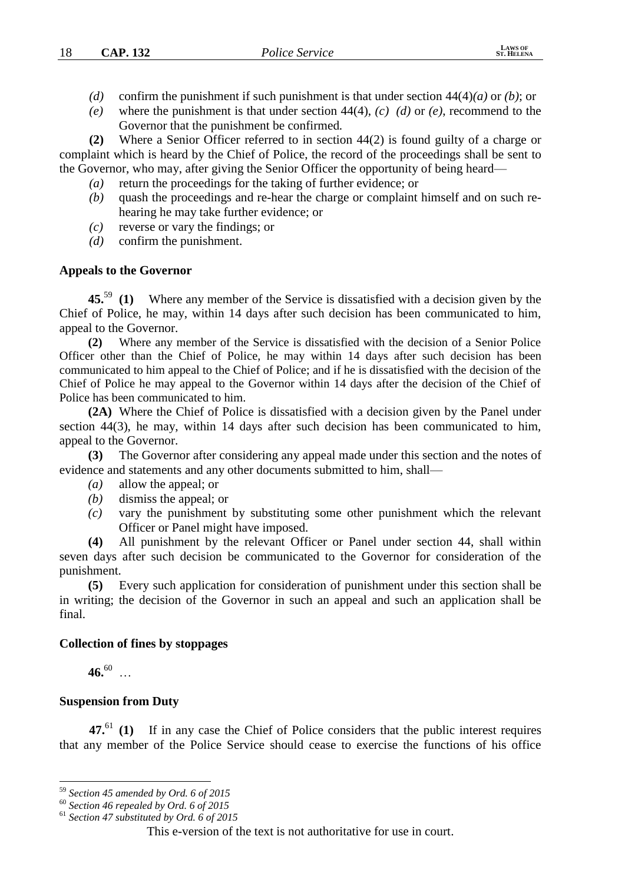- *(d)* confirm the punishment if such punishment is that under section 44(4)*(a)* or *(b)*; or
- *(e)* where the punishment is that under section 44(4), *(c) (d)* or *(e)*, recommend to the Governor that the punishment be confirmed*.*

**(2)** Where a Senior Officer referred to in section 44(2) is found guilty of a charge or complaint which is heard by the Chief of Police, the record of the proceedings shall be sent to the Governor, who may, after giving the Senior Officer the opportunity of being heard—

- *(a)* return the proceedings for the taking of further evidence; or
- *(b)* quash the proceedings and re-hear the charge or complaint himself and on such rehearing he may take further evidence; or
- *(c)* reverse or vary the findings; or
- *(d)* confirm the punishment.

#### **Appeals to the Governor**

**45.**<sup>59</sup> **(1)** Where any member of the Service is dissatisfied with a decision given by the Chief of Police, he may, within 14 days after such decision has been communicated to him, appeal to the Governor.

**(2)** Where any member of the Service is dissatisfied with the decision of a Senior Police Officer other than the Chief of Police, he may within 14 days after such decision has been communicated to him appeal to the Chief of Police; and if he is dissatisfied with the decision of the Chief of Police he may appeal to the Governor within 14 days after the decision of the Chief of Police has been communicated to him.

**(2A)** Where the Chief of Police is dissatisfied with a decision given by the Panel under section 44(3), he may, within 14 days after such decision has been communicated to him, appeal to the Governor.

**(3)** The Governor after considering any appeal made under this section and the notes of evidence and statements and any other documents submitted to him, shall—

- *(a)* allow the appeal; or
- *(b)* dismiss the appeal; or
- *(c)* vary the punishment by substituting some other punishment which the relevant Officer or Panel might have imposed.

**(4)** All punishment by the relevant Officer or Panel under section 44, shall within seven days after such decision be communicated to the Governor for consideration of the punishment.

**(5)** Every such application for consideration of punishment under this section shall be in writing; the decision of the Governor in such an appeal and such an application shall be final.

#### **Collection of fines by stoppages**

**46.**<sup>60</sup> …

<u>.</u>

## **Suspension from Duty**

**47.**<sup>61</sup> **(1)** If in any case the Chief of Police considers that the public interest requires that any member of the Police Service should cease to exercise the functions of his office

<sup>59</sup> *Section 45 amended by Ord. 6 of 2015*

<sup>60</sup> *Section 46 repealed by Ord. 6 of 2015*

<sup>61</sup> *Section 47 substituted by Ord. 6 of 2015*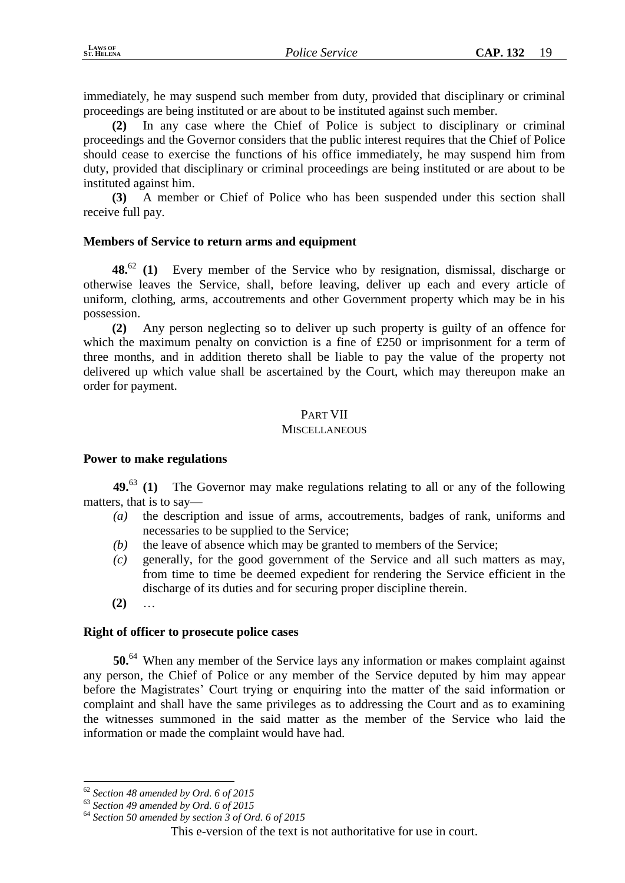immediately, he may suspend such member from duty, provided that disciplinary or criminal proceedings are being instituted or are about to be instituted against such member.

**(2)** In any case where the Chief of Police is subject to disciplinary or criminal proceedings and the Governor considers that the public interest requires that the Chief of Police should cease to exercise the functions of his office immediately, he may suspend him from duty, provided that disciplinary or criminal proceedings are being instituted or are about to be instituted against him.

**(3)** A member or Chief of Police who has been suspended under this section shall receive full pay.

## **Members of Service to return arms and equipment**

**48.**<sup>62</sup> **(1)** Every member of the Service who by resignation, dismissal, discharge or otherwise leaves the Service, shall, before leaving, deliver up each and every article of uniform, clothing, arms, accoutrements and other Government property which may be in his possession.

**(2)** Any person neglecting so to deliver up such property is guilty of an offence for which the maximum penalty on conviction is a fine of £250 or imprisonment for a term of three months, and in addition thereto shall be liable to pay the value of the property not delivered up which value shall be ascertained by the Court, which may thereupon make an order for payment.

# PART VII

## **MISCELLANEOUS**

## **Power to make regulations**

**49.**<sup>63</sup> **(1)** The Governor may make regulations relating to all or any of the following matters, that is to say—

- *(a)* the description and issue of arms, accoutrements, badges of rank, uniforms and necessaries to be supplied to the Service;
- *(b)* the leave of absence which may be granted to members of the Service;
- *(c)* generally, for the good government of the Service and all such matters as may, from time to time be deemed expedient for rendering the Service efficient in the discharge of its duties and for securing proper discipline therein.
- **(2)** …

<u>.</u>

## **Right of officer to prosecute police cases**

**50.**<sup>64</sup> When any member of the Service lays any information or makes complaint against any person, the Chief of Police or any member of the Service deputed by him may appear before the Magistrates' Court trying or enquiring into the matter of the said information or complaint and shall have the same privileges as to addressing the Court and as to examining the witnesses summoned in the said matter as the member of the Service who laid the information or made the complaint would have had.

<sup>62</sup> *Section 48 amended by Ord. 6 of 2015*

<sup>63</sup> *Section 49 amended by Ord. 6 of 2015*

<sup>64</sup> *Section 50 amended by section 3 of Ord. 6 of 2015*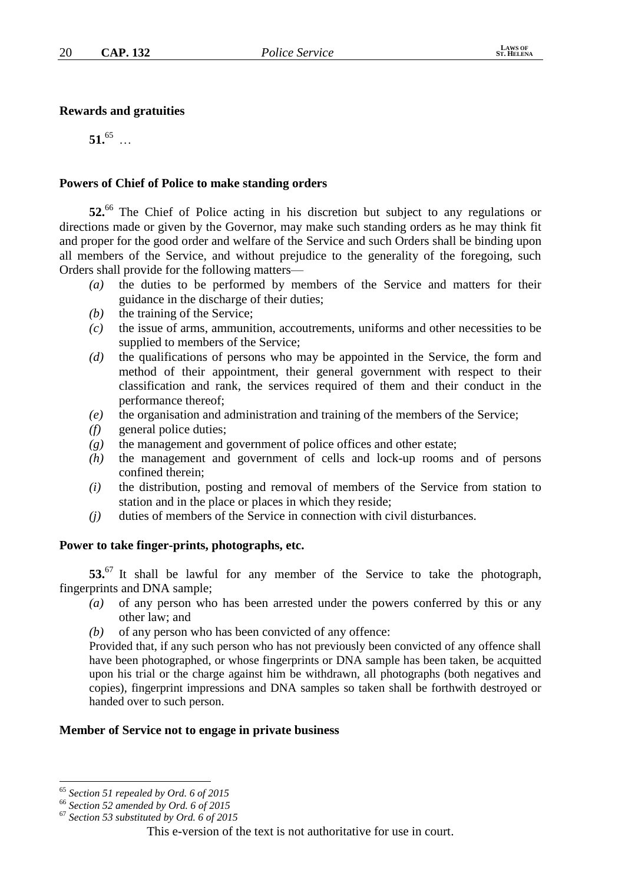#### **Rewards and gratuities**

 $51.65$  …

#### **Powers of Chief of Police to make standing orders**

**52.**<sup>66</sup> The Chief of Police acting in his discretion but subject to any regulations or directions made or given by the Governor, may make such standing orders as he may think fit and proper for the good order and welfare of the Service and such Orders shall be binding upon all members of the Service, and without prejudice to the generality of the foregoing, such Orders shall provide for the following matters—

- *(a)* the duties to be performed by members of the Service and matters for their guidance in the discharge of their duties;
- *(b)* the training of the Service;
- *(c)* the issue of arms, ammunition, accoutrements, uniforms and other necessities to be supplied to members of the Service;
- *(d)* the qualifications of persons who may be appointed in the Service, the form and method of their appointment, their general government with respect to their classification and rank, the services required of them and their conduct in the performance thereof;
- *(e)* the organisation and administration and training of the members of the Service;
- *(f)* general police duties;
- *(g)* the management and government of police offices and other estate;
- *(h)* the management and government of cells and lock-up rooms and of persons confined therein;
- *(i)* the distribution, posting and removal of members of the Service from station to station and in the place or places in which they reside;
- *(j)* duties of members of the Service in connection with civil disturbances.

#### **Power to take finger-prints, photographs, etc.**

**53.**<sup>67</sup> It shall be lawful for any member of the Service to take the photograph, fingerprints and DNA sample;

- *(a)* of any person who has been arrested under the powers conferred by this or any other law; and
- *(b)* of any person who has been convicted of any offence:

Provided that, if any such person who has not previously been convicted of any offence shall have been photographed, or whose fingerprints or DNA sample has been taken, be acquitted upon his trial or the charge against him be withdrawn, all photographs (both negatives and copies), fingerprint impressions and DNA samples so taken shall be forthwith destroyed or handed over to such person.

#### **Member of Service not to engage in private business**

<u>.</u>

<sup>65</sup> *Section 51 repealed by Ord. 6 of 2015*

<sup>66</sup> *Section 52 amended by Ord. 6 of 2015*

<sup>67</sup> *Section 53 substituted by Ord. 6 of 2015*

This e-version of the text is not authoritative for use in court.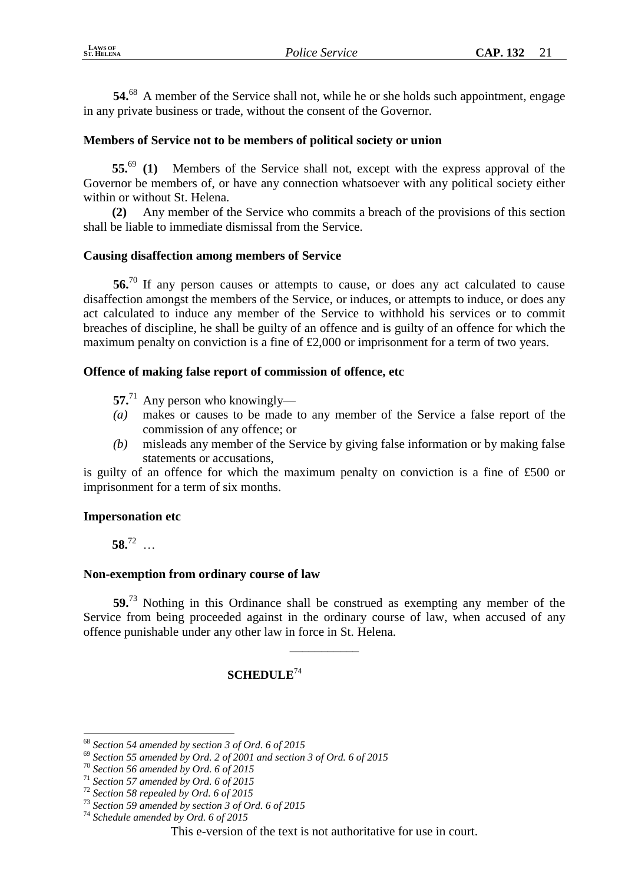**54.**<sup>68</sup> A member of the Service shall not, while he or she holds such appointment, engage in any private business or trade, without the consent of the Governor.

# **Members of Service not to be members of political society or union**

**55.**<sup>69</sup> **(1)** Members of the Service shall not, except with the express approval of the Governor be members of, or have any connection whatsoever with any political society either within or without St. Helena.

**(2)** Any member of the Service who commits a breach of the provisions of this section shall be liable to immediate dismissal from the Service.

## **Causing disaffection among members of Service**

**56.**<sup>70</sup> If any person causes or attempts to cause, or does any act calculated to cause disaffection amongst the members of the Service, or induces, or attempts to induce, or does any act calculated to induce any member of the Service to withhold his services or to commit breaches of discipline, he shall be guilty of an offence and is guilty of an offence for which the maximum penalty on conviction is a fine of £2,000 or imprisonment for a term of two years.

## **Offence of making false report of commission of offence, etc**

- **57.**<sup>71</sup> Any person who knowingly—
- *(a)* makes or causes to be made to any member of the Service a false report of the commission of any offence; or
- *(b)* misleads any member of the Service by giving false information or by making false statements or accusations,

is guilty of an offence for which the maximum penalty on conviction is a fine of £500 or imprisonment for a term of six months.

## **Impersonation etc**

**58.**<sup>72</sup> …

1

## **Non-exemption from ordinary course of law**

**59.**<sup>73</sup> Nothing in this Ordinance shall be construed as exempting any member of the Service from being proceeded against in the ordinary course of law, when accused of any offence punishable under any other law in force in St. Helena.

\_\_\_\_\_\_\_\_\_\_\_

# **SCHEDULE**<sup>74</sup>

<sup>68</sup> *Section 54 amended by section 3 of Ord. 6 of 2015*

<sup>69</sup> *Section 55 amended by Ord. 2 of 2001 and section 3 of Ord. 6 of 2015*

<sup>70</sup> *Section 56 amended by Ord. 6 of 2015*

<sup>71</sup> *Section 57 amended by Ord. 6 of 2015*

<sup>72</sup> *Section 58 repealed by Ord. 6 of 2015*

<sup>73</sup> *Section 59 amended by section 3 of Ord. 6 of 2015*

<sup>74</sup> *Schedule amended by Ord. 6 of 2015*

This e-version of the text is not authoritative for use in court.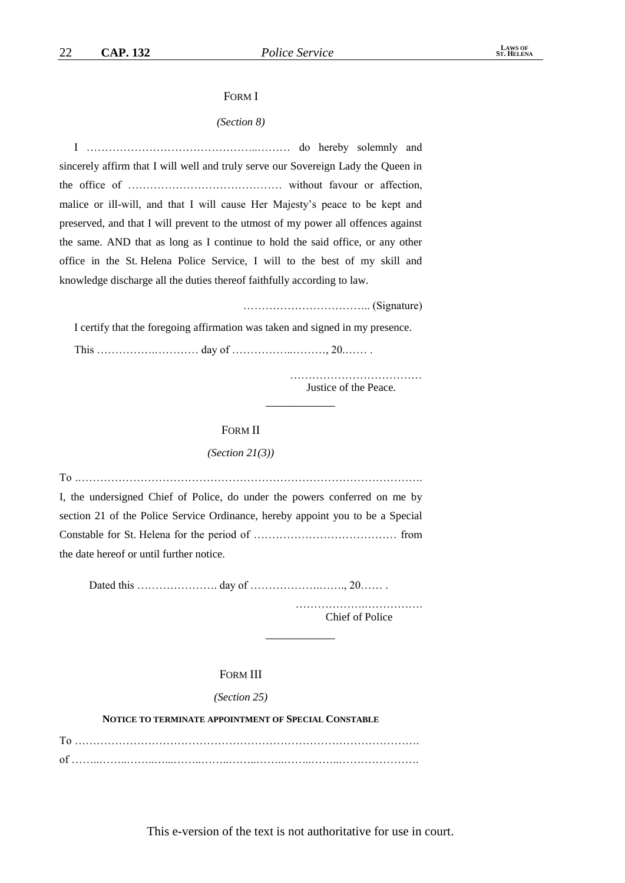#### FORM I

#### *(Section 8)*

I ………………………………………..……… do hereby solemnly and sincerely affirm that I will well and truly serve our Sovereign Lady the Queen in the office of …………………………………… without favour or affection, malice or ill-will, and that I will cause Her Majesty's peace to be kept and preserved, and that I will prevent to the utmost of my power all offences against the same. AND that as long as I continue to hold the said office, or any other office in the St. Helena Police Service, I will to the best of my skill and knowledge discharge all the duties thereof faithfully according to law.

…………………………….. (Signature)

I certify that the foregoing affirmation was taken and signed in my presence. This …………….………… day of ……………..………, 20.…… .

> Justice of the Peace. \_\_\_\_\_\_\_\_\_\_\_

#### FORM II

#### *(Section 21(3))*

To .…………………………………………………………………………………. I, the undersigned Chief of Police, do under the powers conferred on me by section 21 of the Police Service Ordinance, hereby appoint you to be a Special Constable for St. Helena for the period of ………………………………… from the date hereof or until further notice.

Dated this …………………. day of ……………….……., 20…… .

……………….……………. Chief of Police

#### FORM III

#### *(Section 25)*

#### **NOTICE TO TERMINATE APPOINTMENT OF SPECIAL CONSTABLE**

To …………………………………………………………………………………. of ……..……..……..…...……..……..……..……..……..……..………………….

This e-version of the text is not authoritative for use in court.

\_\_\_\_\_\_\_\_\_\_\_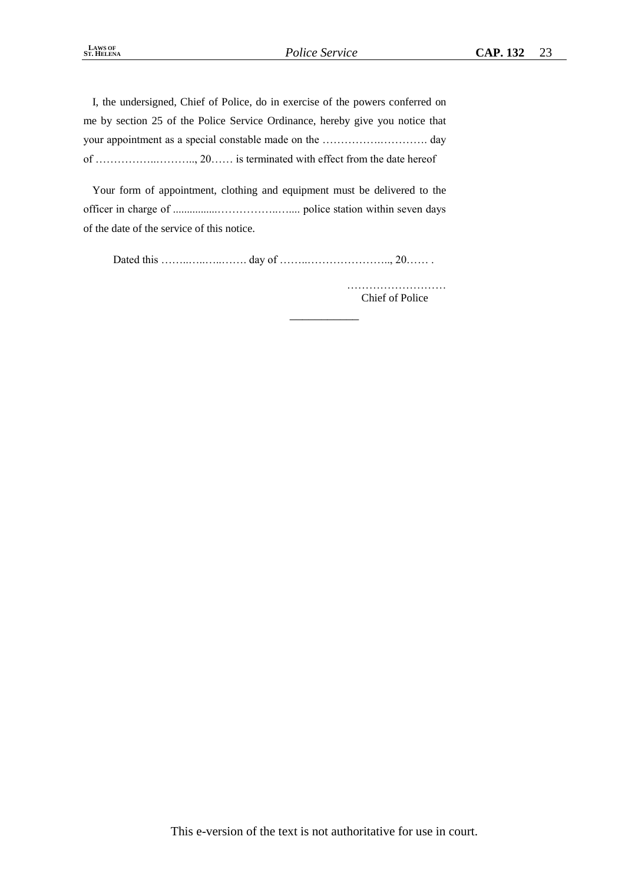\_\_\_\_\_\_\_\_\_\_\_

I, the undersigned, Chief of Police, do in exercise of the powers conferred on me by section 25 of the Police Service Ordinance, hereby give you notice that your appointment as a special constable made on the …………….…………. day of ……………..……….., 20…… is terminated with effect from the date hereof

Your form of appointment, clothing and equipment must be delivered to the officer in charge of ................……………..….... police station within seven days of the date of the service of this notice.

Dated this ……..…..…..……. day of ……..………………….., 20…… .

……………………… Chief of Police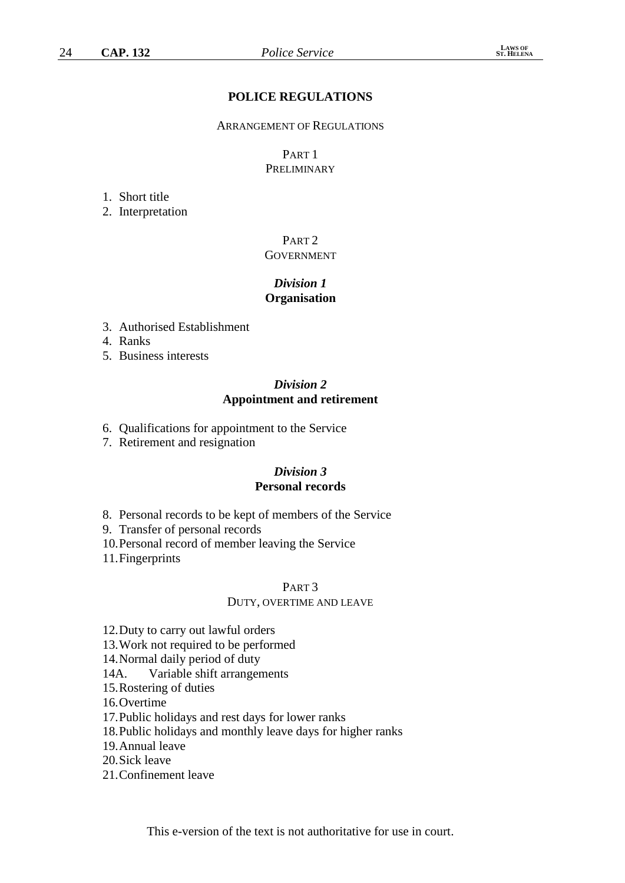## **POLICE REGULATIONS**

#### ARRANGEMENT OF REGULATIONS

## PART 1 **PRELIMINARY**

#### 1. Short title

2. Interpretation

## PART 2 **GOVERNMENT**

## *Division 1* **Organisation**

- 3. Authorised Establishment
- 4. Ranks
- 5. Business interests

#### *Division 2* **Appointment and retirement**

- 6. Qualifications for appointment to the Service
- 7. Retirement and resignation

# *Division 3* **Personal records**

- 8. Personal records to be kept of members of the Service
- 9. Transfer of personal records
- 10.Personal record of member leaving the Service
- 11.Fingerprints

#### PART 3

#### DUTY, OVERTIME AND LEAVE

- 12.Duty to carry out lawful orders
- 13.Work not required to be performed

14.Normal daily period of duty

- 14A. Variable shift arrangements
- 15.Rostering of duties
- 16.Overtime
- 17.Public holidays and rest days for lower ranks
- 18.Public holidays and monthly leave days for higher ranks
- 19.Annual leave
- 20.Sick leave
- 21.Confinement leave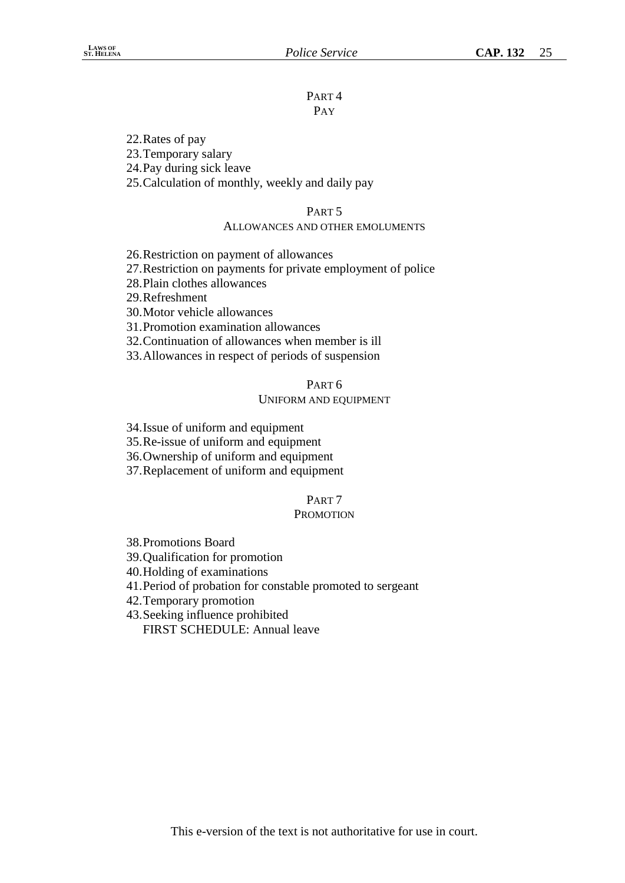#### PART 4 PAY

22.Rates of pay

23.Temporary salary

24.Pay during sick leave

25.Calculation of monthly, weekly and daily pay

# PART 5

## ALLOWANCES AND OTHER EMOLUMENTS

26.Restriction on payment of allowances

27.Restriction on payments for private employment of police

28.Plain clothes allowances

29.Refreshment

30.Motor vehicle allowances

31.Promotion examination allowances

32.Continuation of allowances when member is ill

33.Allowances in respect of periods of suspension

## PART 6

## UNIFORM AND EQUIPMENT

34.Issue of uniform and equipment

35.Re-issue of uniform and equipment

36.Ownership of uniform and equipment

37.Replacement of uniform and equipment

# PART 7

## **PROMOTION**

38.Promotions Board

39.Qualification for promotion

40.Holding of examinations

41.Period of probation for constable promoted to sergeant

42.Temporary promotion

43.Seeking influence prohibited

FIRST SCHEDULE: Annual leave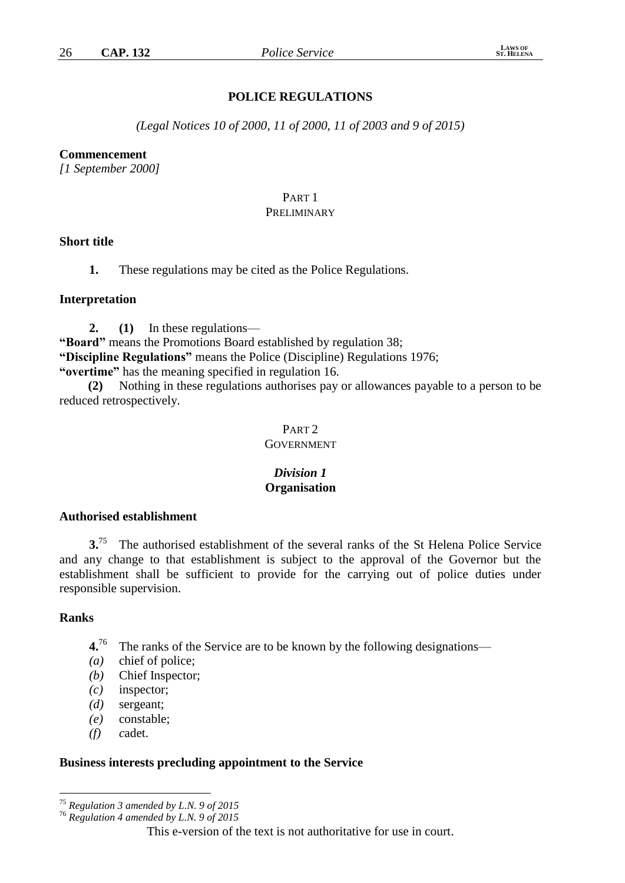# **POLICE REGULATIONS**

*(Legal Notices 10 of 2000, 11 of 2000, 11 of 2003 and 9 of 2015)*

#### **Commencement**

*[1 September 2000]*

# PART 1

# PRELIMINARY

## **Short title**

**1.** These regulations may be cited as the Police Regulations.

#### **Interpretation**

**2. (1)** In these regulations—

**"Board"** means the Promotions Board established by regulation 38; **"Discipline Regulations"** means the Police (Discipline) Regulations 1976; **"overtime"** has the meaning specified in regulation 16.

**(2)** Nothing in these regulations authorises pay or allowances payable to a person to be reduced retrospectively.

# PART 2

# GOVERNMENT

## *Division 1* **Organisation**

#### **Authorised establishment**

**3.**<sup>75</sup> The authorised establishment of the several ranks of the St Helena Police Service and any change to that establishment is subject to the approval of the Governor but the establishment shall be sufficient to provide for the carrying out of police duties under responsible supervision.

#### **Ranks**

<u>.</u>

- **4.**<sup>76</sup> The ranks of the Service are to be known by the following designations—
- *(a)* chief of police;
- *(b)* Chief Inspector;
- *(c)* inspector;
- *(d)* sergeant;
- *(e)* constable;
- *(f) c*adet.

#### **Business interests precluding appointment to the Service**

<sup>75</sup> *Regulation 3 amended by L.N. 9 of 2015*

<sup>76</sup> *Regulation 4 amended by L.N. 9 of 2015*

This e-version of the text is not authoritative for use in court.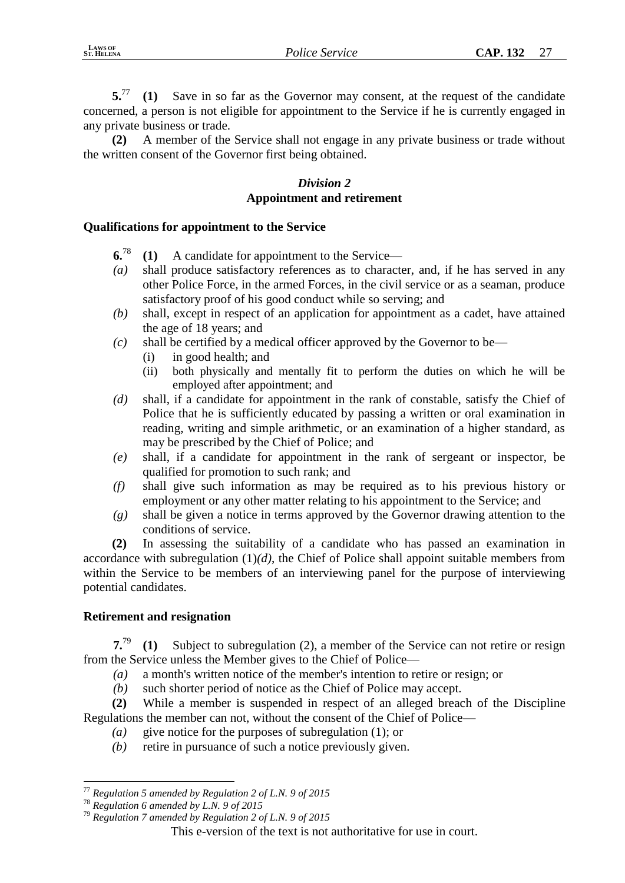**5.**<sup>77</sup> **(1)** Save in so far as the Governor may consent, at the request of the candidate concerned, a person is not eligible for appointment to the Service if he is currently engaged in any private business or trade.

**(2)** A member of the Service shall not engage in any private business or trade without the written consent of the Governor first being obtained.

# *Division 2* **Appointment and retirement**

## **Qualifications for appointment to the Service**

- **6.**<sup>78</sup> **(1)** A candidate for appointment to the Service—
- *(a)* shall produce satisfactory references as to character, and, if he has served in any other Police Force, in the armed Forces, in the civil service or as a seaman, produce satisfactory proof of his good conduct while so serving; and
- *(b)* shall, except in respect of an application for appointment as a cadet, have attained the age of 18 years; and
- *(c)* shall be certified by a medical officer approved by the Governor to be—
	- (i) in good health; and
	- (ii) both physically and mentally fit to perform the duties on which he will be employed after appointment; and
- *(d)* shall, if a candidate for appointment in the rank of constable, satisfy the Chief of Police that he is sufficiently educated by passing a written or oral examination in reading, writing and simple arithmetic, or an examination of a higher standard, as may be prescribed by the Chief of Police; and
- *(e)* shall, if a candidate for appointment in the rank of sergeant or inspector, be qualified for promotion to such rank; and
- *(f)* shall give such information as may be required as to his previous history or employment or any other matter relating to his appointment to the Service; and
- *(g)* shall be given a notice in terms approved by the Governor drawing attention to the conditions of service.

**(2)** In assessing the suitability of a candidate who has passed an examination in accordance with subregulation (1)*(d)*, the Chief of Police shall appoint suitable members from within the Service to be members of an interviewing panel for the purpose of interviewing potential candidates.

# **Retirement and resignation**

**7.**<sup>79</sup> **(1)** Subject to subregulation (2), a member of the Service can not retire or resign from the Service unless the Member gives to the Chief of Police—

- *(a)* a month's written notice of the member's intention to retire or resign; or
- *(b)* such shorter period of notice as the Chief of Police may accept.

**(2)** While a member is suspended in respect of an alleged breach of the Discipline Regulations the member can not, without the consent of the Chief of Police—

- *(a)* give notice for the purposes of subregulation (1); or
- *(b)* retire in pursuance of such a notice previously given.

<u>.</u>

<sup>77</sup> *Regulation 5 amended by Regulation 2 of L.N. 9 of 2015*

<sup>78</sup> *Regulation 6 amended by L.N. 9 of 2015*

<sup>79</sup> *Regulation 7 amended by Regulation 2 of L.N. 9 of 2015*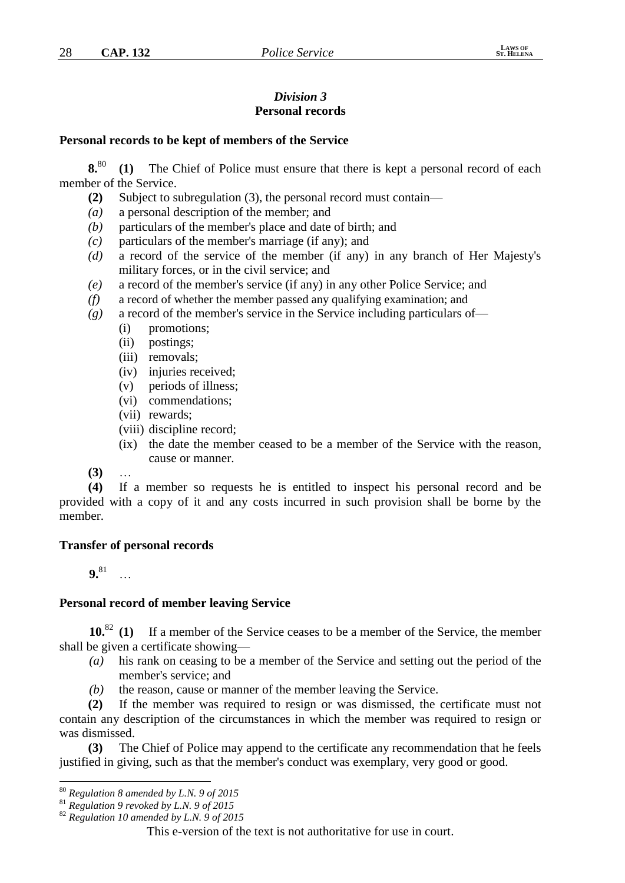# *Division 3* **Personal records**

#### **Personal records to be kept of members of the Service**

**8.**<sup>80</sup> **(1)** The Chief of Police must ensure that there is kept a personal record of each member of the Service.

- **(2)** Subject to subregulation (3), the personal record must contain—
- *(a)* a personal description of the member; and
- *(b)* particulars of the member's place and date of birth; and
- *(c)* particulars of the member's marriage (if any); and
- *(d)* a record of the service of the member (if any) in any branch of Her Majesty's military forces, or in the civil service; and
- *(e)* a record of the member's service (if any) in any other Police Service; and
- *(f)* a record of whether the member passed any qualifying examination; and
- *(g)* a record of the member's service in the Service including particulars of—
	- (i) promotions;
	- (ii) postings;
	- (iii) removals;
	- (iv) injuries received;
	- (v) periods of illness;
	- (vi) commendations;
	- (vii) rewards;
	- (viii) discipline record;
	- (ix) the date the member ceased to be a member of the Service with the reason, cause or manner.
- **(3)** …

**(4)** If a member so requests he is entitled to inspect his personal record and be provided with a copy of it and any costs incurred in such provision shall be borne by the member.

## **Transfer of personal records**

**9.**<sup>81</sup> …

<u>.</u>

## **Personal record of member leaving Service**

**10.**<sup>82</sup> **(1)** If a member of the Service ceases to be a member of the Service, the member shall be given a certificate showing—

- *(a)* his rank on ceasing to be a member of the Service and setting out the period of the member's service; and
- *(b)* the reason, cause or manner of the member leaving the Service.

**(2)** If the member was required to resign or was dismissed, the certificate must not contain any description of the circumstances in which the member was required to resign or was dismissed.

**(3)** The Chief of Police may append to the certificate any recommendation that he feels justified in giving, such as that the member's conduct was exemplary, very good or good.

<sup>80</sup> *Regulation 8 amended by L.N. 9 of 2015*

<sup>81</sup> *Regulation 9 revoked by L.N. 9 of 2015*

<sup>82</sup> *Regulation 10 amended by L.N. 9 of 2015*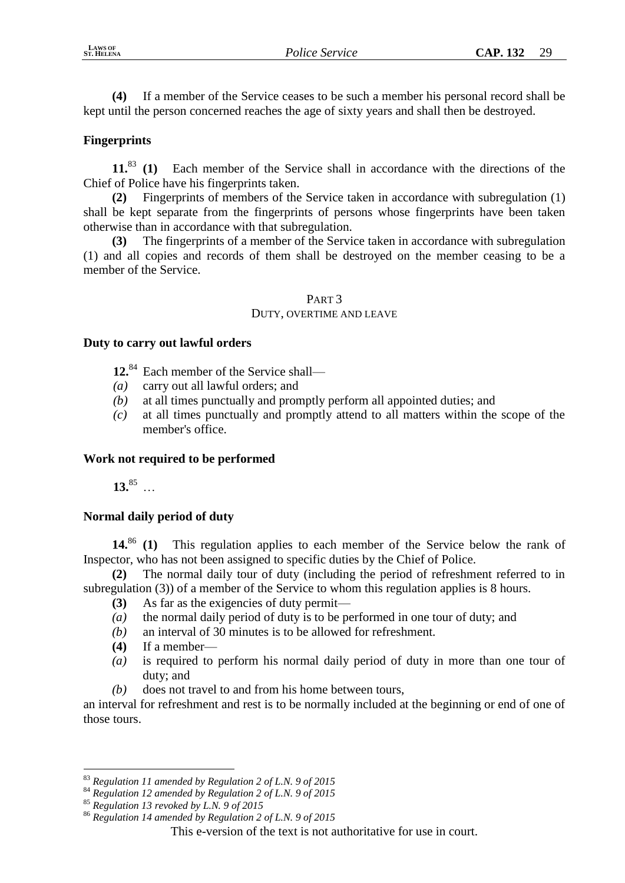**(4)** If a member of the Service ceases to be such a member his personal record shall be kept until the person concerned reaches the age of sixty years and shall then be destroyed.

# **Fingerprints**

**11.**<sup>83</sup> **(1)** Each member of the Service shall in accordance with the directions of the Chief of Police have his fingerprints taken.

**(2)** Fingerprints of members of the Service taken in accordance with subregulation (1) shall be kept separate from the fingerprints of persons whose fingerprints have been taken otherwise than in accordance with that subregulation.

**(3)** The fingerprints of a member of the Service taken in accordance with subregulation (1) and all copies and records of them shall be destroyed on the member ceasing to be a member of the Service.

#### PART 3 DUTY, OVERTIME AND LEAVE

# **Duty to carry out lawful orders**

**12.**<sup>84</sup> Each member of the Service shall—

- *(a)* carry out all lawful orders; and
- *(b)* at all times punctually and promptly perform all appointed duties; and
- *(c)* at all times punctually and promptly attend to all matters within the scope of the member's office.

## **Work not required to be performed**

**13.**<sup>85</sup> …

# **Normal daily period of duty**

**14.**<sup>86</sup> **(1)** This regulation applies to each member of the Service below the rank of Inspector, who has not been assigned to specific duties by the Chief of Police.

**(2)** The normal daily tour of duty (including the period of refreshment referred to in subregulation (3)) of a member of the Service to whom this regulation applies is 8 hours.

- **(3)** As far as the exigencies of duty permit—
- *(a)* the normal daily period of duty is to be performed in one tour of duty; and
- *(b)* an interval of 30 minutes is to be allowed for refreshment.
- **(4)** If a member—
- *(a)* is required to perform his normal daily period of duty in more than one tour of duty; and
- *(b)* does not travel to and from his home between tours,

an interval for refreshment and rest is to be normally included at the beginning or end of one of those tours.

<sup>1</sup> <sup>83</sup> *Regulation 11 amended by Regulation 2 of L.N. 9 of 2015*

<sup>84</sup> *Regulation 12 amended by Regulation 2 of L.N. 9 of 2015*

<sup>85</sup> *Regulation 13 revoked by L.N. 9 of 2015*

<sup>86</sup> *Regulation 14 amended by Regulation 2 of L.N. 9 of 2015*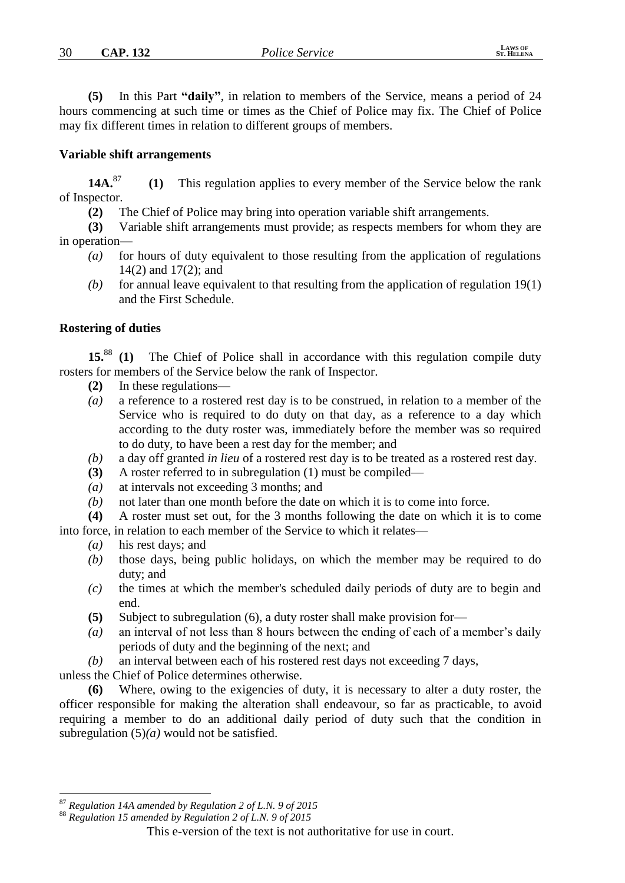**(5)** In this Part **"daily"**, in relation to members of the Service, means a period of 24 hours commencing at such time or times as the Chief of Police may fix. The Chief of Police may fix different times in relation to different groups of members.

## **Variable shift arrangements**

**14A.**<sup>87</sup> **(1)** This regulation applies to every member of the Service below the rank of Inspector.

**(2)** The Chief of Police may bring into operation variable shift arrangements.

**(3)** Variable shift arrangements must provide; as respects members for whom they are in operation—

- *(a)* for hours of duty equivalent to those resulting from the application of regulations 14(2) and 17(2); and
- *(b)* for annual leave equivalent to that resulting from the application of regulation 19(1) and the First Schedule.

# **Rostering of duties**

**15.**<sup>88</sup> **(1)** The Chief of Police shall in accordance with this regulation compile duty rosters for members of the Service below the rank of Inspector.

- **(2)** In these regulations—
- *(a)* a reference to a rostered rest day is to be construed, in relation to a member of the Service who is required to do duty on that day, as a reference to a day which according to the duty roster was, immediately before the member was so required to do duty, to have been a rest day for the member; and
- *(b)* a day off granted *in lieu* of a rostered rest day is to be treated as a rostered rest day.
- **(3)** A roster referred to in subregulation (1) must be compiled—
- *(a)* at intervals not exceeding 3 months; and
- *(b)* not later than one month before the date on which it is to come into force.

**(4)** A roster must set out, for the 3 months following the date on which it is to come into force, in relation to each member of the Service to which it relates—

- *(a)* his rest days; and
- *(b)* those days, being public holidays, on which the member may be required to do duty; and
- *(c)* the times at which the member's scheduled daily periods of duty are to begin and end.
- **(5)** Subject to subregulation (6), a duty roster shall make provision for—
- *(a)* an interval of not less than 8 hours between the ending of each of a member's daily periods of duty and the beginning of the next; and
- *(b)* an interval between each of his rostered rest days not exceeding 7 days,

unless the Chief of Police determines otherwise.

**(6)** Where, owing to the exigencies of duty, it is necessary to alter a duty roster, the officer responsible for making the alteration shall endeavour, so far as practicable, to avoid requiring a member to do an additional daily period of duty such that the condition in subregulation (5)*(a)* would not be satisfied.

<u>.</u>

<sup>87</sup> *Regulation 14A amended by Regulation 2 of L.N. 9 of 2015*

<sup>88</sup> *Regulation 15 amended by Regulation 2 of L.N. 9 of 2015*

This e-version of the text is not authoritative for use in court.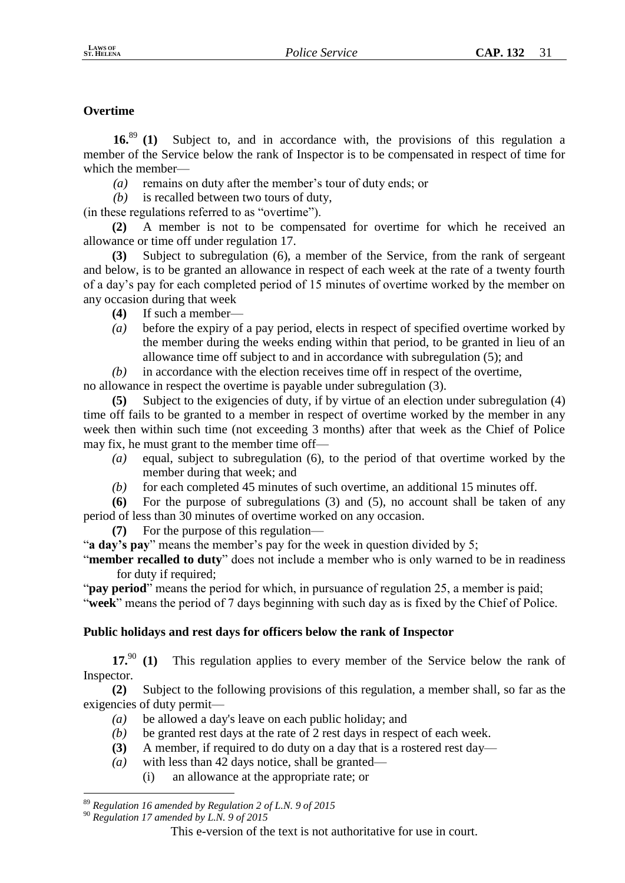# **Overtime**

**16.**<sup>89</sup> **(1)** Subject to, and in accordance with, the provisions of this regulation a member of the Service below the rank of Inspector is to be compensated in respect of time for which the member—

*(a)* remains on duty after the member's tour of duty ends; or

*(b)* is recalled between two tours of duty,

(in these regulations referred to as "overtime").

**(2)** A member is not to be compensated for overtime for which he received an allowance or time off under regulation 17.

**(3)** Subject to subregulation (6), a member of the Service, from the rank of sergeant and below, is to be granted an allowance in respect of each week at the rate of a twenty fourth of a day's pay for each completed period of 15 minutes of overtime worked by the member on any occasion during that week

**(4)** If such a member—

*(a)* before the expiry of a pay period, elects in respect of specified overtime worked by the member during the weeks ending within that period, to be granted in lieu of an allowance time off subject to and in accordance with subregulation (5); and

*(b)* in accordance with the election receives time off in respect of the overtime,

no allowance in respect the overtime is payable under subregulation (3).

**(5)** Subject to the exigencies of duty, if by virtue of an election under subregulation (4) time off fails to be granted to a member in respect of overtime worked by the member in any week then within such time (not exceeding 3 months) after that week as the Chief of Police may fix, he must grant to the member time off—

- *(a)* equal, subject to subregulation (6), to the period of that overtime worked by the member during that week; and
- *(b)* for each completed 45 minutes of such overtime, an additional 15 minutes off.

**(6)** For the purpose of subregulations (3) and (5), no account shall be taken of any period of less than 30 minutes of overtime worked on any occasion.

**(7)** For the purpose of this regulation—

"**a day's pay**" means the member's pay for the week in question divided by 5;

"**member recalled to duty**" does not include a member who is only warned to be in readiness for duty if required;

"**pay period**" means the period for which, in pursuance of regulation 25, a member is paid;

"**week**" means the period of 7 days beginning with such day as is fixed by the Chief of Police.

# **Public holidays and rest days for officers below the rank of Inspector**

**17.**<sup>90</sup> **(1)** This regulation applies to every member of the Service below the rank of Inspector.

**(2)** Subject to the following provisions of this regulation, a member shall, so far as the exigencies of duty permit—

- *(a)* be allowed a day's leave on each public holiday; and
- *(b)* be granted rest days at the rate of 2 rest days in respect of each week.
- **(3)** A member, if required to do duty on a day that is a rostered rest day—
- *(a)* with less than 42 days notice, shall be granted—
	- (i) an allowance at the appropriate rate; or

<sup>&</sup>lt;u>.</u> <sup>89</sup> *Regulation 16 amended by Regulation 2 of L.N. 9 of 2015*

<sup>90</sup> *Regulation 17 amended by L.N. 9 of 2015*

This e-version of the text is not authoritative for use in court.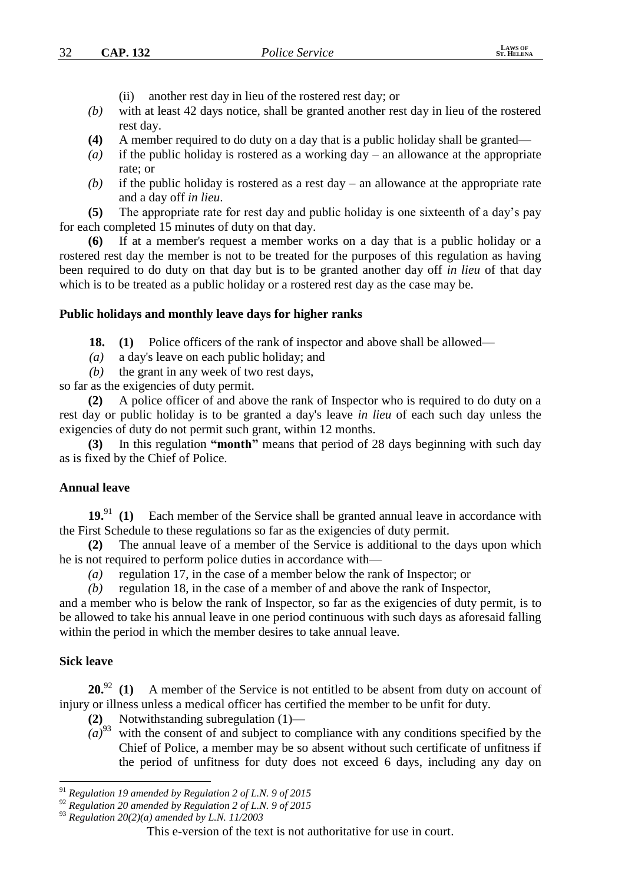- (ii) another rest day in lieu of the rostered rest day; or
- *(b)* with at least 42 days notice, shall be granted another rest day in lieu of the rostered rest day.
- **(4)** A member required to do duty on a day that is a public holiday shall be granted—
- *(a)* if the public holiday is rostered as a working day an allowance at the appropriate rate; or
- *(b)* if the public holiday is rostered as a rest day an allowance at the appropriate rate and a day off *in lieu*.

**(5)** The appropriate rate for rest day and public holiday is one sixteenth of a day's pay for each completed 15 minutes of duty on that day.

**(6)** If at a member's request a member works on a day that is a public holiday or a rostered rest day the member is not to be treated for the purposes of this regulation as having been required to do duty on that day but is to be granted another day off *in lieu* of that day which is to be treated as a public holiday or a rostered rest day as the case may be.

## **Public holidays and monthly leave days for higher ranks**

**18. (1)** Police officers of the rank of inspector and above shall be allowed—

- *(a)* a day's leave on each public holiday; and
- *(b)* the grant in any week of two rest days,

so far as the exigencies of duty permit.

**(2)** A police officer of and above the rank of Inspector who is required to do duty on a rest day or public holiday is to be granted a day's leave *in lieu* of each such day unless the exigencies of duty do not permit such grant, within 12 months.

**(3)** In this regulation **"month"** means that period of 28 days beginning with such day as is fixed by the Chief of Police.

## **Annual leave**

**19.**<sup>91</sup> **(1)** Each member of the Service shall be granted annual leave in accordance with the First Schedule to these regulations so far as the exigencies of duty permit.

**(2)** The annual leave of a member of the Service is additional to the days upon which he is not required to perform police duties in accordance with—

- *(a)* regulation 17, in the case of a member below the rank of Inspector; or
- *(b)* regulation 18, in the case of a member of and above the rank of Inspector,

and a member who is below the rank of Inspector, so far as the exigencies of duty permit, is to be allowed to take his annual leave in one period continuous with such days as aforesaid falling within the period in which the member desires to take annual leave.

## **Sick leave**

<u>.</u>

20.<sup>92</sup> (1) A member of the Service is not entitled to be absent from duty on account of injury or illness unless a medical officer has certified the member to be unfit for duty.

- **(2)** Notwithstanding subregulation (1)—
- $(a)$ <sup>93</sup> with the consent of and subject to compliance with any conditions specified by the Chief of Police, a member may be so absent without such certificate of unfitness if the period of unfitness for duty does not exceed 6 days, including any day on

<sup>91</sup> *Regulation 19 amended by Regulation 2 of L.N. 9 of 2015*

<sup>92</sup> *Regulation 20 amended by Regulation 2 of L.N. 9 of 2015*

<sup>93</sup> *Regulation 20(2)(a) amended by L.N. 11/2003*

This e-version of the text is not authoritative for use in court.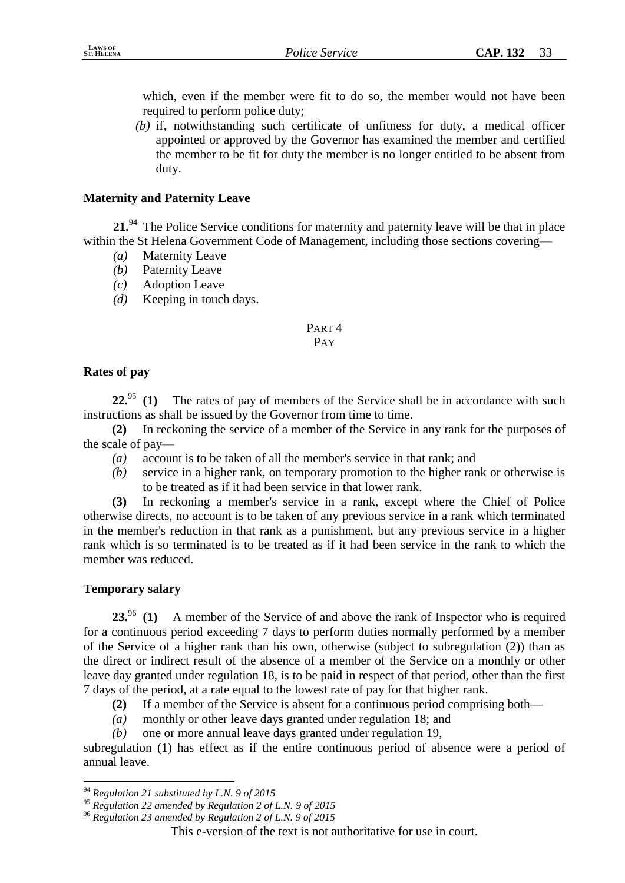which, even if the member were fit to do so, the member would not have been required to perform police duty;

*(b)* if, notwithstanding such certificate of unfitness for duty, a medical officer appointed or approved by the Governor has examined the member and certified the member to be fit for duty the member is no longer entitled to be absent from duty.

# **Maternity and Paternity Leave**

**21.**<sup>94</sup> The Police Service conditions for maternity and paternity leave will be that in place within the St Helena Government Code of Management, including those sections covering—

- *(a)* Maternity Leave
- *(b)* Paternity Leave
- *(c)* Adoption Leave
- *(d)* Keeping in touch days.

# PART 4

# PAY

# **Rates of pay**

22.<sup>95</sup> **(1)** The rates of pay of members of the Service shall be in accordance with such instructions as shall be issued by the Governor from time to time.

**(2)** In reckoning the service of a member of the Service in any rank for the purposes of the scale of pay—

- *(a)* account is to be taken of all the member's service in that rank; and
- *(b)* service in a higher rank, on temporary promotion to the higher rank or otherwise is to be treated as if it had been service in that lower rank.

**(3)** In reckoning a member's service in a rank, except where the Chief of Police otherwise directs, no account is to be taken of any previous service in a rank which terminated in the member's reduction in that rank as a punishment, but any previous service in a higher rank which is so terminated is to be treated as if it had been service in the rank to which the member was reduced.

# **Temporary salary**

<u>.</u>

23.<sup>96</sup> **(1)** A member of the Service of and above the rank of Inspector who is required for a continuous period exceeding 7 days to perform duties normally performed by a member of the Service of a higher rank than his own, otherwise (subject to subregulation (2)) than as the direct or indirect result of the absence of a member of the Service on a monthly or other leave day granted under regulation 18, is to be paid in respect of that period, other than the first 7 days of the period, at a rate equal to the lowest rate of pay for that higher rank.

**(2)** If a member of the Service is absent for a continuous period comprising both—

- *(a)* monthly or other leave days granted under regulation 18; and
- *(b)* one or more annual leave days granted under regulation 19,

subregulation (1) has effect as if the entire continuous period of absence were a period of annual leave.

<sup>94</sup> *Regulation 21 substituted by L.N. 9 of 2015*

<sup>95</sup> *Regulation 22 amended by Regulation 2 of L.N. 9 of 2015*

<sup>96</sup> *Regulation 23 amended by Regulation 2 of L.N. 9 of 2015*

This e-version of the text is not authoritative for use in court.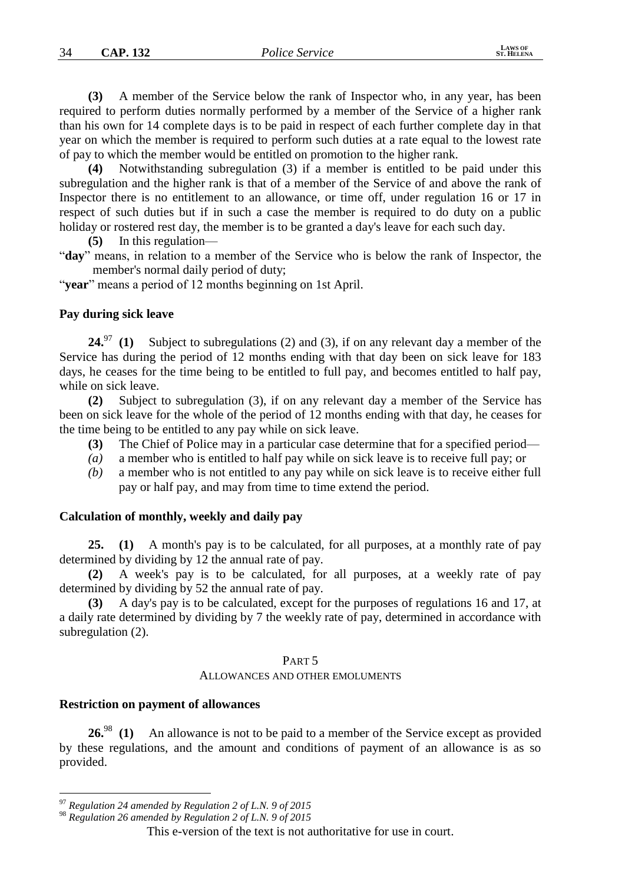**(3)** A member of the Service below the rank of Inspector who, in any year, has been required to perform duties normally performed by a member of the Service of a higher rank than his own for 14 complete days is to be paid in respect of each further complete day in that year on which the member is required to perform such duties at a rate equal to the lowest rate of pay to which the member would be entitled on promotion to the higher rank.

**(4)** Notwithstanding subregulation (3) if a member is entitled to be paid under this subregulation and the higher rank is that of a member of the Service of and above the rank of Inspector there is no entitlement to an allowance, or time off, under regulation 16 or 17 in respect of such duties but if in such a case the member is required to do duty on a public holiday or rostered rest day, the member is to be granted a day's leave for each such day.

**(5)** In this regulation—

"**day**" means, in relation to a member of the Service who is below the rank of Inspector, the member's normal daily period of duty;

"**year**" means a period of 12 months beginning on 1st April.

#### **Pay during sick leave**

**24.**<sup>97</sup> **(1)** Subject to subregulations (2) and (3), if on any relevant day a member of the Service has during the period of 12 months ending with that day been on sick leave for 183 days, he ceases for the time being to be entitled to full pay, and becomes entitled to half pay, while on sick leave.

**(2)** Subject to subregulation (3), if on any relevant day a member of the Service has been on sick leave for the whole of the period of 12 months ending with that day, he ceases for the time being to be entitled to any pay while on sick leave.

- **(3)** The Chief of Police may in a particular case determine that for a specified period—
- *(a)* a member who is entitled to half pay while on sick leave is to receive full pay; or
- *(b)* a member who is not entitled to any pay while on sick leave is to receive either full pay or half pay, and may from time to time extend the period.

#### **Calculation of monthly, weekly and daily pay**

**25. (1)** A month's pay is to be calculated, for all purposes, at a monthly rate of pay determined by dividing by 12 the annual rate of pay.

**(2)** A week's pay is to be calculated, for all purposes, at a weekly rate of pay determined by dividing by 52 the annual rate of pay.

**(3)** A day's pay is to be calculated, except for the purposes of regulations 16 and 17, at a daily rate determined by dividing by 7 the weekly rate of pay, determined in accordance with subregulation (2).

#### PART 5

#### ALLOWANCES AND OTHER EMOLUMENTS

#### **Restriction on payment of allowances**

<u>.</u>

**26.**<sup>98</sup> **(1)** An allowance is not to be paid to a member of the Service except as provided by these regulations, and the amount and conditions of payment of an allowance is as so provided.

<sup>97</sup> *Regulation 24 amended by Regulation 2 of L.N. 9 of 2015*

<sup>98</sup> *Regulation 26 amended by Regulation 2 of L.N. 9 of 2015*

This e-version of the text is not authoritative for use in court.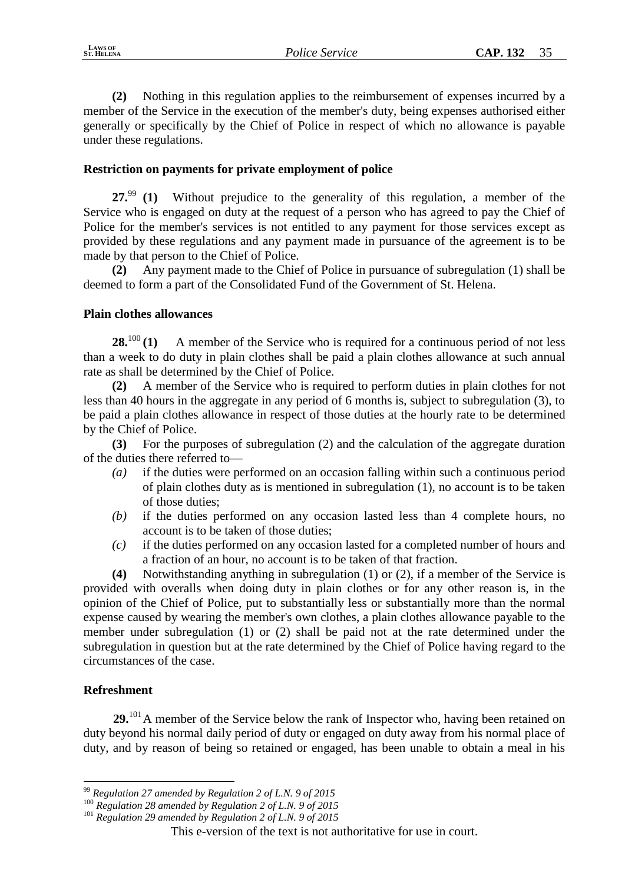**(2)** Nothing in this regulation applies to the reimbursement of expenses incurred by a member of the Service in the execution of the member's duty, being expenses authorised either generally or specifically by the Chief of Police in respect of which no allowance is payable under these regulations.

# **Restriction on payments for private employment of police**

**27.**<sup>99</sup> **(1)** Without prejudice to the generality of this regulation, a member of the Service who is engaged on duty at the request of a person who has agreed to pay the Chief of Police for the member's services is not entitled to any payment for those services except as provided by these regulations and any payment made in pursuance of the agreement is to be made by that person to the Chief of Police.

**(2)** Any payment made to the Chief of Police in pursuance of subregulation (1) shall be deemed to form a part of the Consolidated Fund of the Government of St. Helena.

# **Plain clothes allowances**

**28.**<sup>100</sup> (1) A member of the Service who is required for a continuous period of not less than a week to do duty in plain clothes shall be paid a plain clothes allowance at such annual rate as shall be determined by the Chief of Police.

**(2)** A member of the Service who is required to perform duties in plain clothes for not less than 40 hours in the aggregate in any period of 6 months is, subject to subregulation (3), to be paid a plain clothes allowance in respect of those duties at the hourly rate to be determined by the Chief of Police.

**(3)** For the purposes of subregulation (2) and the calculation of the aggregate duration of the duties there referred to—

- *(a)* if the duties were performed on an occasion falling within such a continuous period of plain clothes duty as is mentioned in subregulation (1), no account is to be taken of those duties;
- *(b)* if the duties performed on any occasion lasted less than 4 complete hours, no account is to be taken of those duties;
- *(c)* if the duties performed on any occasion lasted for a completed number of hours and a fraction of an hour, no account is to be taken of that fraction.

**(4)** Notwithstanding anything in subregulation (1) or (2), if a member of the Service is provided with overalls when doing duty in plain clothes or for any other reason is, in the opinion of the Chief of Police, put to substantially less or substantially more than the normal expense caused by wearing the member's own clothes, a plain clothes allowance payable to the member under subregulation (1) or (2) shall be paid not at the rate determined under the subregulation in question but at the rate determined by the Chief of Police having regard to the circumstances of the case.

# **Refreshment**

<u>.</u>

29.<sup>101</sup> A member of the Service below the rank of Inspector who, having been retained on duty beyond his normal daily period of duty or engaged on duty away from his normal place of duty, and by reason of being so retained or engaged, has been unable to obtain a meal in his

<sup>99</sup> *Regulation 27 amended by Regulation 2 of L.N. 9 of 2015*

<sup>100</sup> *Regulation 28 amended by Regulation 2 of L.N. 9 of 2015*

<sup>101</sup> *Regulation 29 amended by Regulation 2 of L.N. 9 of 2015*

This e-version of the text is not authoritative for use in court.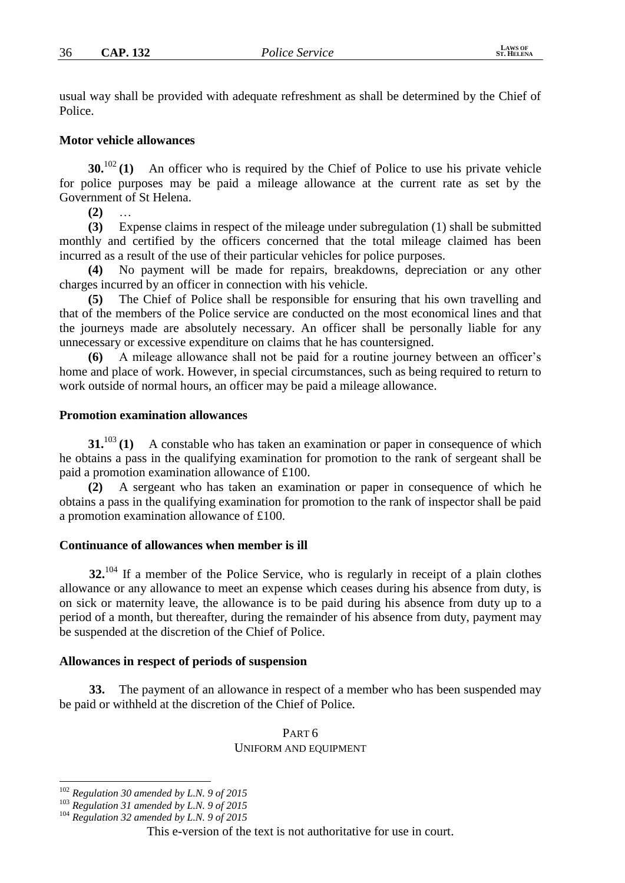usual way shall be provided with adequate refreshment as shall be determined by the Chief of Police.

#### **Motor vehicle allowances**

**30.**<sup>102</sup> (1) An officer who is required by the Chief of Police to use his private vehicle for police purposes may be paid a mileage allowance at the current rate as set by the Government of St Helena.

**(2)** …

**(3)** Expense claims in respect of the mileage under subregulation (1) shall be submitted monthly and certified by the officers concerned that the total mileage claimed has been incurred as a result of the use of their particular vehicles for police purposes.

**(4)** No payment will be made for repairs, breakdowns, depreciation or any other charges incurred by an officer in connection with his vehicle.

**(5)** The Chief of Police shall be responsible for ensuring that his own travelling and that of the members of the Police service are conducted on the most economical lines and that the journeys made are absolutely necessary. An officer shall be personally liable for any unnecessary or excessive expenditure on claims that he has countersigned.

**(6)** A mileage allowance shall not be paid for a routine journey between an officer's home and place of work. However, in special circumstances, such as being required to return to work outside of normal hours, an officer may be paid a mileage allowance.

#### **Promotion examination allowances**

**31.**<sup>103</sup> (1) A constable who has taken an examination or paper in consequence of which he obtains a pass in the qualifying examination for promotion to the rank of sergeant shall be paid a promotion examination allowance of £100.

**(2)** A sergeant who has taken an examination or paper in consequence of which he obtains a pass in the qualifying examination for promotion to the rank of inspector shall be paid a promotion examination allowance of £100.

#### **Continuance of allowances when member is ill**

**32.**<sup>104</sup> If a member of the Police Service, who is regularly in receipt of a plain clothes allowance or any allowance to meet an expense which ceases during his absence from duty, is on sick or maternity leave, the allowance is to be paid during his absence from duty up to a period of a month, but thereafter, during the remainder of his absence from duty, payment may be suspended at the discretion of the Chief of Police.

#### **Allowances in respect of periods of suspension**

**33.** The payment of an allowance in respect of a member who has been suspended may be paid or withheld at the discretion of the Chief of Police.

#### PART 6 UNIFORM AND EQUIPMENT

<u>.</u>

<sup>102</sup> *Regulation 30 amended by L.N. 9 of 2015*

<sup>103</sup> *Regulation 31 amended by L.N. 9 of 2015*

<sup>104</sup> *Regulation 32 amended by L.N. 9 of 2015*

This e-version of the text is not authoritative for use in court.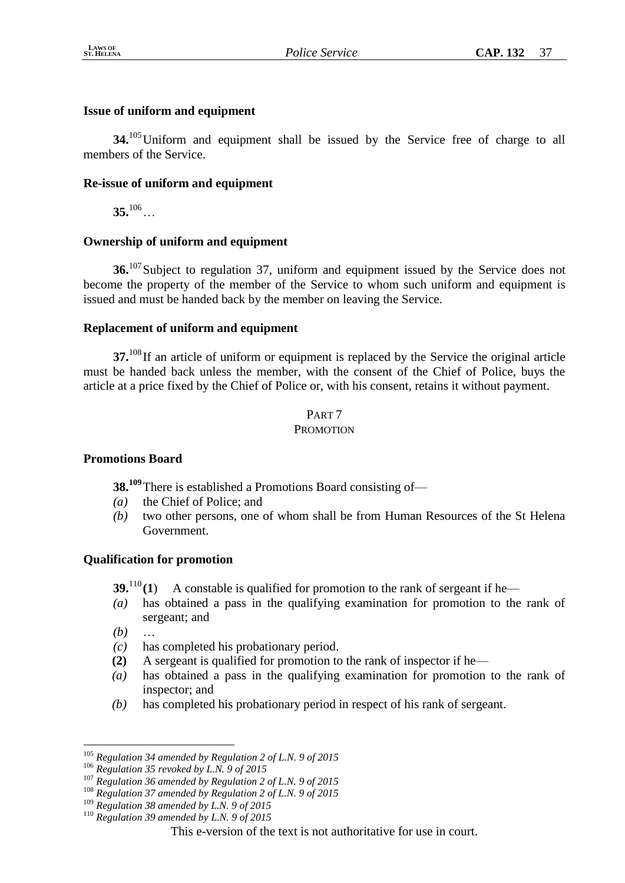# **Issue of uniform and equipment**

**34.**<sup>105</sup>Uniform and equipment shall be issued by the Service free of charge to all members of the Service.

# **Re-issue of uniform and equipment**

**35.**<sup>106</sup>…

# **Ownership of uniform and equipment**

**36.**<sup>107</sup> Subject to regulation 37, uniform and equipment issued by the Service does not become the property of the member of the Service to whom such uniform and equipment is issued and must be handed back by the member on leaving the Service.

# **Replacement of uniform and equipment**

**37.**<sup>108</sup> If an article of uniform or equipment is replaced by the Service the original article must be handed back unless the member, with the consent of the Chief of Police, buys the article at a price fixed by the Chief of Police or, with his consent, retains it without payment.

# PART 7 **PROMOTION**

# **Promotions Board**

**38.<sup>109</sup>**There is established a Promotions Board consisting of—

- *(a)* the Chief of Police; and
- *(b)* two other persons, one of whom shall be from Human Resources of the St Helena Government.

# **Qualification for promotion**

- **39.**<sup>110</sup> (1) A constable is qualified for promotion to the rank of sergeant if he—
- *(a)* has obtained a pass in the qualifying examination for promotion to the rank of sergeant; and

 $(b)$ 

- *(c)* has completed his probationary period.
- **(2)** A sergeant is qualified for promotion to the rank of inspector if he—
- *(a)* has obtained a pass in the qualifying examination for promotion to the rank of inspector; and
- *(b)* has completed his probationary period in respect of his rank of sergeant.

<sup>105</sup> *Regulation 34 amended by Regulation 2 of L.N. 9 of 2015*

<sup>106</sup> *Regulation 35 revoked by L.N. 9 of 2015*

<sup>107</sup> *Regulation 36 amended by Regulation 2 of L.N. 9 of 2015*

<sup>108</sup> *Regulation 37 amended by Regulation 2 of L.N. 9 of 2015*

<sup>109</sup> *Regulation 38 amended by L.N. 9 of 2015*

<sup>110</sup> *Regulation 39 amended by L.N. 9 of 2015*

This e-version of the text is not authoritative for use in court.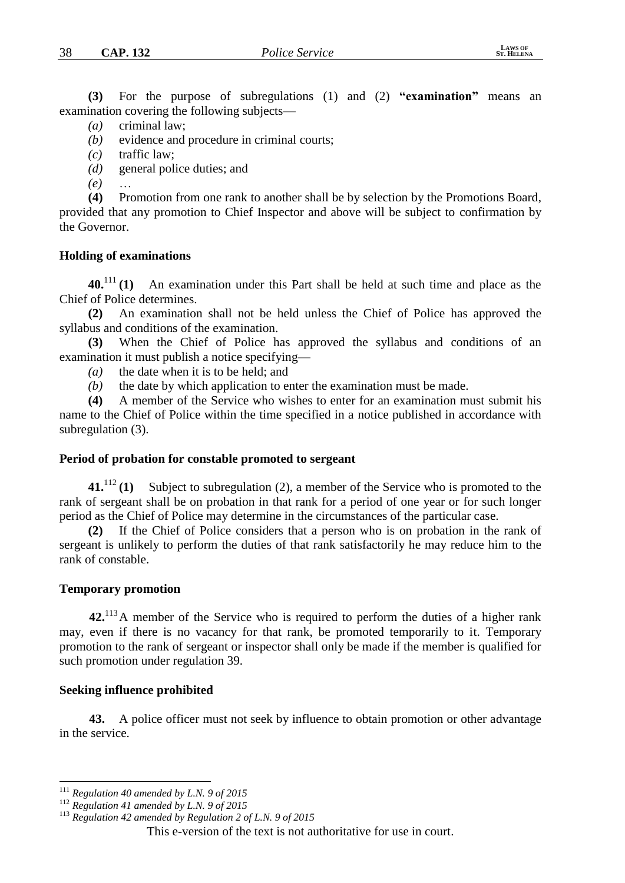**(3)** For the purpose of subregulations (1) and (2) **"examination"** means an examination covering the following subjects—

*(a)* criminal law;

*(b)* evidence and procedure in criminal courts;

*(c)* traffic law;

*(d)* general police duties; and

*(e)* …

**(4)** Promotion from one rank to another shall be by selection by the Promotions Board, provided that any promotion to Chief Inspector and above will be subject to confirmation by the Governor.

#### **Holding of examinations**

**40.**<sup>111</sup> **(1)** An examination under this Part shall be held at such time and place as the Chief of Police determines.

**(2)** An examination shall not be held unless the Chief of Police has approved the syllabus and conditions of the examination.

**(3)** When the Chief of Police has approved the syllabus and conditions of an examination it must publish a notice specifying—

*(a)* the date when it is to be held; and

*(b)* the date by which application to enter the examination must be made.

**(4)** A member of the Service who wishes to enter for an examination must submit his name to the Chief of Police within the time specified in a notice published in accordance with subregulation (3).

#### **Period of probation for constable promoted to sergeant**

**41.**<sup>112</sup> **(1)** Subject to subregulation (2), a member of the Service who is promoted to the rank of sergeant shall be on probation in that rank for a period of one year or for such longer period as the Chief of Police may determine in the circumstances of the particular case.

**(2)** If the Chief of Police considers that a person who is on probation in the rank of sergeant is unlikely to perform the duties of that rank satisfactorily he may reduce him to the rank of constable.

#### **Temporary promotion**

**42.**<sup>113</sup>A member of the Service who is required to perform the duties of a higher rank may, even if there is no vacancy for that rank, be promoted temporarily to it. Temporary promotion to the rank of sergeant or inspector shall only be made if the member is qualified for such promotion under regulation 39.

#### **Seeking influence prohibited**

<u>.</u>

**43.** A police officer must not seek by influence to obtain promotion or other advantage in the service.

<sup>111</sup> *Regulation 40 amended by L.N. 9 of 2015*

<sup>112</sup> *Regulation 41 amended by L.N. 9 of 2015*

<sup>113</sup> *Regulation 42 amended by Regulation 2 of L.N. 9 of 2015*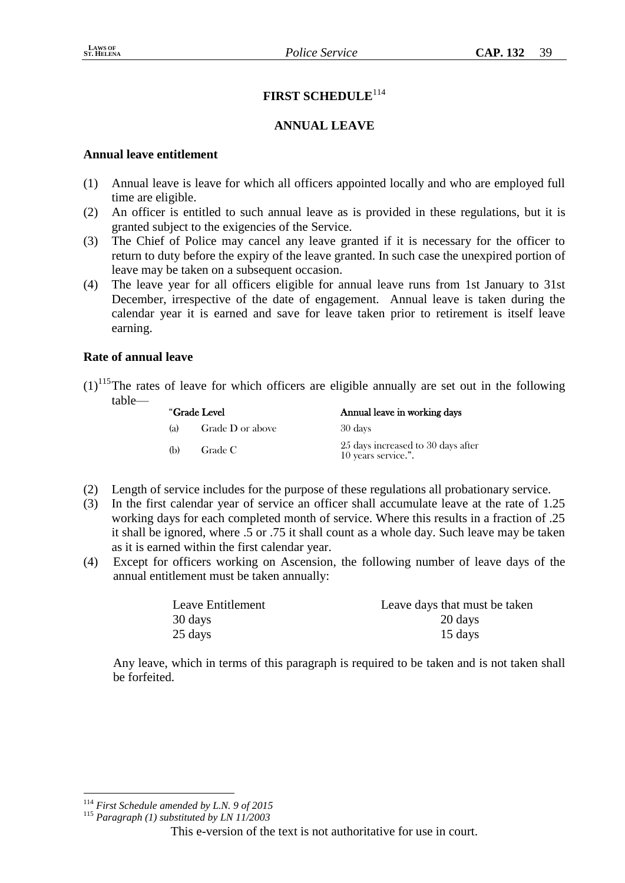# **FIRST SCHEDULE**<sup>114</sup>

# **ANNUAL LEAVE**

## **Annual leave entitlement**

- (1) Annual leave is leave for which all officers appointed locally and who are employed full time are eligible.
- (2) An officer is entitled to such annual leave as is provided in these regulations, but it is granted subject to the exigencies of the Service.
- (3) The Chief of Police may cancel any leave granted if it is necessary for the officer to return to duty before the expiry of the leave granted. In such case the unexpired portion of leave may be taken on a subsequent occasion.
- (4) The leave year for all officers eligible for annual leave runs from 1st January to 31st December, irrespective of the date of engagement. Annual leave is taken during the calendar year it is earned and save for leave taken prior to retirement is itself leave earning.

## **Rate of annual leave**

 $(1)$ <sup>115</sup>The rates of leave for which officers are eligible annually are set out in the following table—

| "Grade Level |                  | Annual leave in working days                              |
|--------------|------------------|-----------------------------------------------------------|
| (a)          | Grade D or above | 30 days                                                   |
| (b)          | Grade C          | 25 days increased to 30 days after<br>10 years service.". |

- (2) Length of service includes for the purpose of these regulations all probationary service.
- (3) In the first calendar year of service an officer shall accumulate leave at the rate of 1.25 working days for each completed month of service. Where this results in a fraction of .25 it shall be ignored, where .5 or .75 it shall count as a whole day. Such leave may be taken as it is earned within the first calendar year.
- (4) Except for officers working on Ascension, the following number of leave days of the annual entitlement must be taken annually:

| Leave Entitlement | Leave days that must be taken |
|-------------------|-------------------------------|
| 30 days           | 20 days                       |
| 25 days           | 15 days                       |

Any leave, which in terms of this paragraph is required to be taken and is not taken shall be forfeited.

<u>.</u>

<sup>114</sup> *First Schedule amended by L.N. 9 of 2015*

<sup>115</sup> *Paragraph (1) substituted by LN 11/2003*

This e-version of the text is not authoritative for use in court.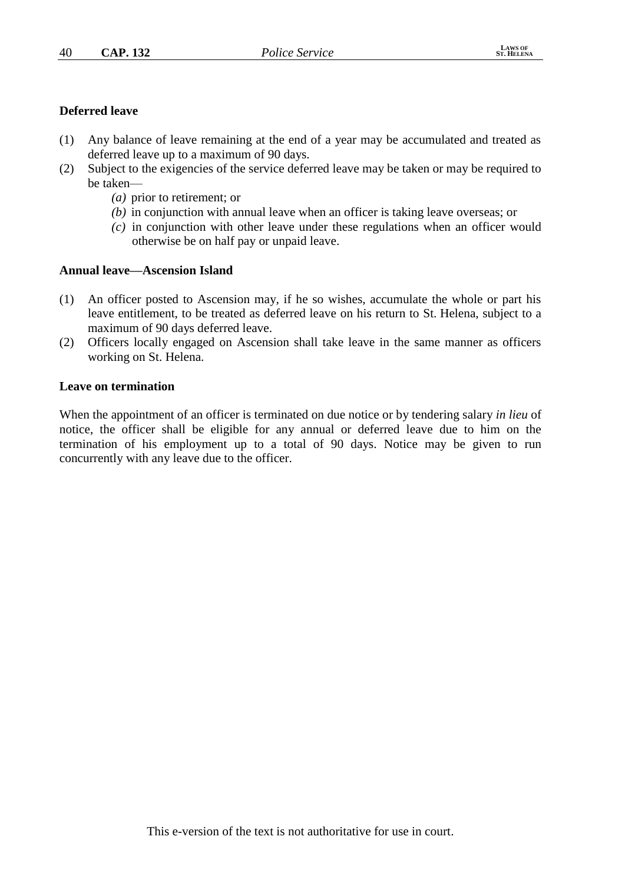## **Deferred leave**

- (1) Any balance of leave remaining at the end of a year may be accumulated and treated as deferred leave up to a maximum of 90 days.
- (2) Subject to the exigencies of the service deferred leave may be taken or may be required to be taken—
	- *(a)* prior to retirement; or
	- *(b)* in conjunction with annual leave when an officer is taking leave overseas; or
	- *(c)* in conjunction with other leave under these regulations when an officer would otherwise be on half pay or unpaid leave.

## **Annual leave—Ascension Island**

- (1) An officer posted to Ascension may, if he so wishes, accumulate the whole or part his leave entitlement, to be treated as deferred leave on his return to St. Helena, subject to a maximum of 90 days deferred leave.
- (2) Officers locally engaged on Ascension shall take leave in the same manner as officers working on St. Helena.

#### **Leave on termination**

When the appointment of an officer is terminated on due notice or by tendering salary *in lieu* of notice, the officer shall be eligible for any annual or deferred leave due to him on the termination of his employment up to a total of 90 days. Notice may be given to run concurrently with any leave due to the officer.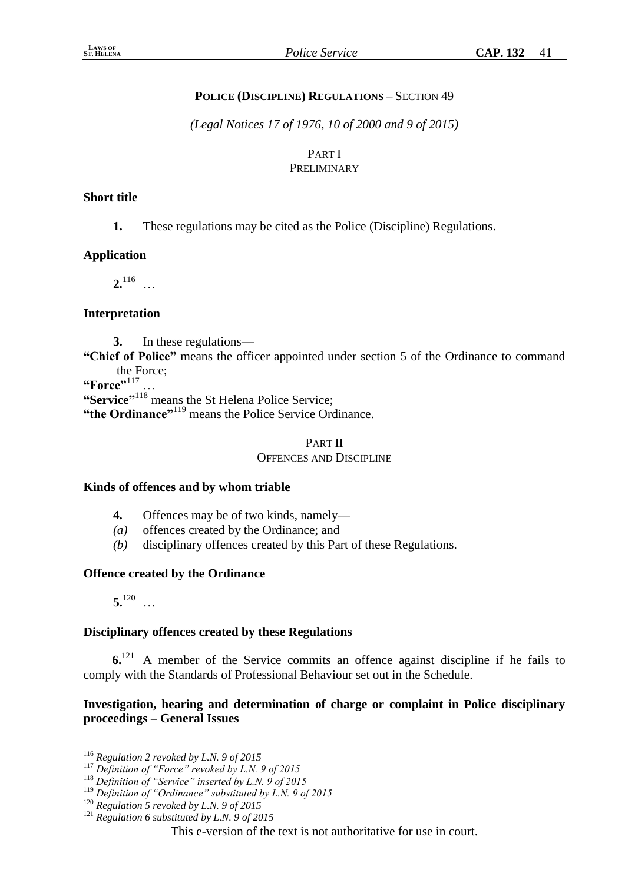# **POLICE (DISCIPLINE) REGULATIONS** – SECTION 49

*(Legal Notices 17 of 1976, 10 of 2000 and 9 of 2015)*

#### PART I PRELIMINARY

## **Short title**

**1.** These regulations may be cited as the Police (Discipline) Regulations.

## **Application**

 $2^{116}$  …

# **Interpretation**

**3.** In these regulations—

**"Chief of Police"** means the officer appointed under section 5 of the Ordinance to command the Force;

**"Force"**<sup>117</sup> …

**"Service"** <sup>118</sup> means the St Helena Police Service;

"the Ordinance"<sup>119</sup> means the Police Service Ordinance.

# PART II OFFENCES AND DISCIPLINE

## **Kinds of offences and by whom triable**

- **4.** Offences may be of two kinds, namely—
- *(a)* offences created by the Ordinance; and
- *(b)* disciplinary offences created by this Part of these Regulations.

## **Offence created by the Ordinance**

**5.**<sup>120</sup> …

## **Disciplinary offences created by these Regulations**

**6.**<sup>121</sup> A member of the Service commits an offence against discipline if he fails to comply with the Standards of Professional Behaviour set out in the Schedule.

# **Investigation, hearing and determination of charge or complaint in Police disciplinary proceedings – General Issues**

<sup>1</sup> <sup>116</sup> *Regulation 2 revoked by L.N. 9 of 2015*

<sup>117</sup> *Definition of "Force" revoked by L.N. 9 of 2015*

<sup>118</sup> *Definition of "Service" inserted by L.N. 9 of 2015*

<sup>119</sup> *Definition of "Ordinance" substituted by L.N. 9 of 2015*

<sup>120</sup> *Regulation 5 revoked by L.N. 9 of 2015*

<sup>121</sup> *Regulation 6 substituted by L.N. 9 of 2015*

This e-version of the text is not authoritative for use in court.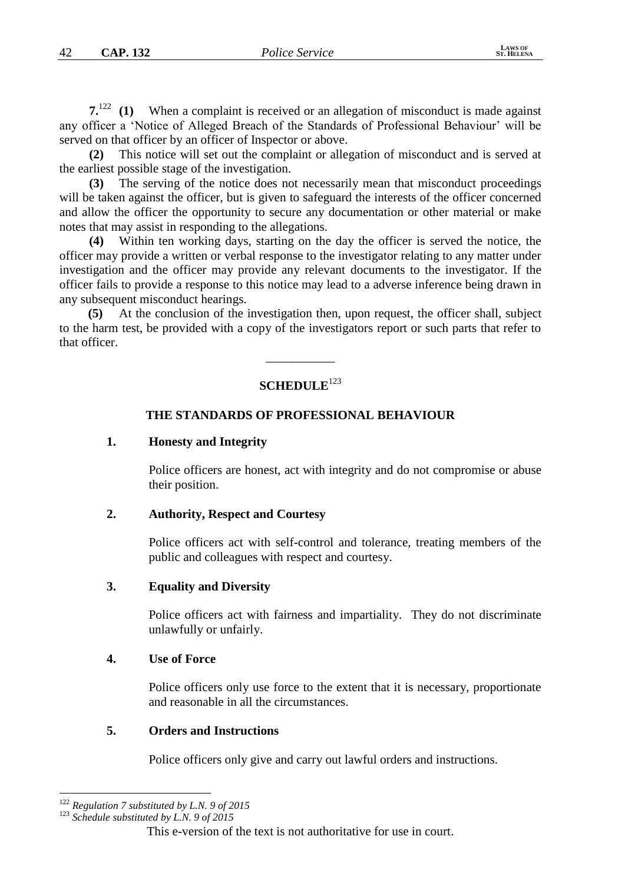**7.**<sup>122</sup> **(1)** When a complaint is received or an allegation of misconduct is made against any officer a 'Notice of Alleged Breach of the Standards of Professional Behaviour' will be served on that officer by an officer of Inspector or above.

**(2)** This notice will set out the complaint or allegation of misconduct and is served at the earliest possible stage of the investigation.

**(3)** The serving of the notice does not necessarily mean that misconduct proceedings will be taken against the officer, but is given to safeguard the interests of the officer concerned and allow the officer the opportunity to secure any documentation or other material or make notes that may assist in responding to the allegations.

**(4)** Within ten working days, starting on the day the officer is served the notice, the officer may provide a written or verbal response to the investigator relating to any matter under investigation and the officer may provide any relevant documents to the investigator. If the officer fails to provide a response to this notice may lead to a adverse inference being drawn in any subsequent misconduct hearings.

**(5)** At the conclusion of the investigation then, upon request, the officer shall, subject to the harm test, be provided with a copy of the investigators report or such parts that refer to that officer.

## **SCHEDULE**<sup>123</sup>

\_\_\_\_\_\_\_\_\_\_\_

#### **THE STANDARDS OF PROFESSIONAL BEHAVIOUR**

#### **1. Honesty and Integrity**

Police officers are honest, act with integrity and do not compromise or abuse their position.

## **2. Authority, Respect and Courtesy**

Police officers act with self-control and tolerance, treating members of the public and colleagues with respect and courtesy.

#### **3. Equality and Diversity**

Police officers act with fairness and impartiality. They do not discriminate unlawfully or unfairly.

#### **4. Use of Force**

Police officers only use force to the extent that it is necessary, proportionate and reasonable in all the circumstances.

#### **5. Orders and Instructions**

Police officers only give and carry out lawful orders and instructions.

<u>.</u>

<sup>122</sup> *Regulation 7 substituted by L.N. 9 of 2015*

<sup>123</sup> *Schedule substituted by L.N. 9 of 2015*

This e-version of the text is not authoritative for use in court.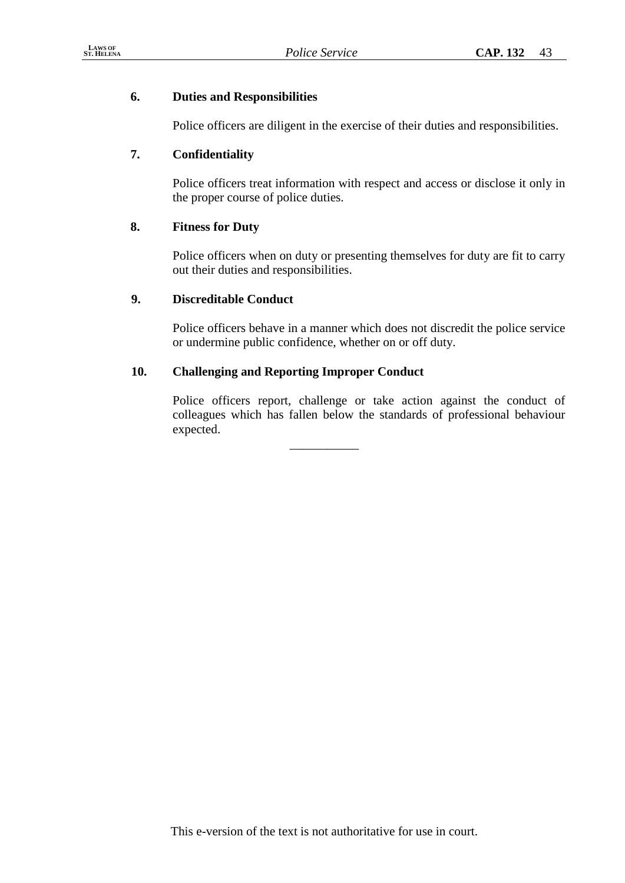# **6. Duties and Responsibilities**

Police officers are diligent in the exercise of their duties and responsibilities.

# **7. Confidentiality**

Police officers treat information with respect and access or disclose it only in the proper course of police duties.

# **8. Fitness for Duty**

Police officers when on duty or presenting themselves for duty are fit to carry out their duties and responsibilities.

# **9. Discreditable Conduct**

Police officers behave in a manner which does not discredit the police service or undermine public confidence, whether on or off duty.

# **10. Challenging and Reporting Improper Conduct**

Police officers report, challenge or take action against the conduct of colleagues which has fallen below the standards of professional behaviour expected.

\_\_\_\_\_\_\_\_\_\_\_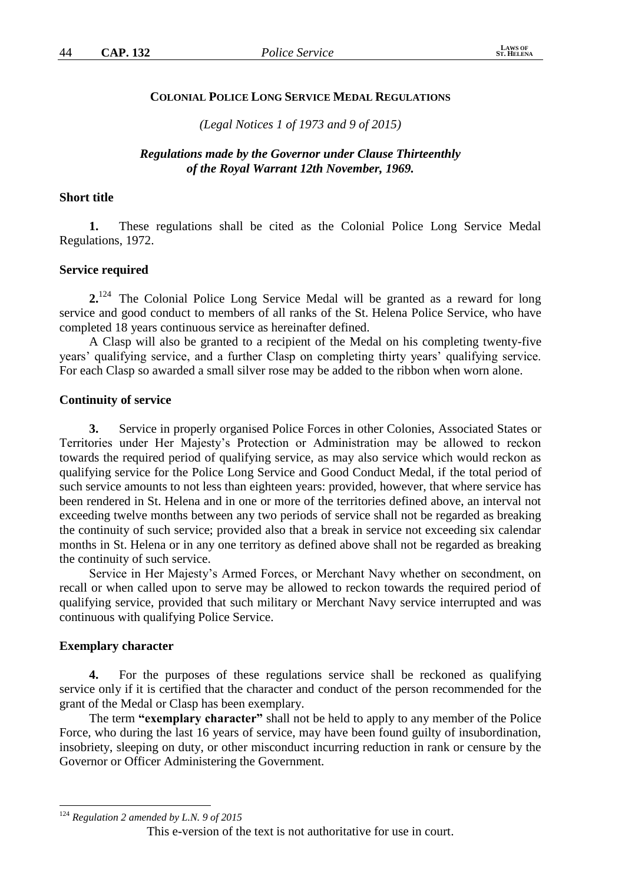#### **COLONIAL POLICE LONG SERVICE MEDAL REGULATIONS**

*(Legal Notices 1 of 1973 and 9 of 2015)*

#### *Regulations made by the Governor under Clause Thirteenthly of the Royal Warrant 12th November, 1969.*

#### **Short title**

**1.** These regulations shall be cited as the Colonial Police Long Service Medal Regulations, 1972.

#### **Service required**

**2.**<sup>124</sup> The Colonial Police Long Service Medal will be granted as a reward for long service and good conduct to members of all ranks of the St. Helena Police Service, who have completed 18 years continuous service as hereinafter defined.

A Clasp will also be granted to a recipient of the Medal on his completing twenty-five years' qualifying service, and a further Clasp on completing thirty years' qualifying service. For each Clasp so awarded a small silver rose may be added to the ribbon when worn alone.

#### **Continuity of service**

**3.** Service in properly organised Police Forces in other Colonies, Associated States or Territories under Her Majesty's Protection or Administration may be allowed to reckon towards the required period of qualifying service, as may also service which would reckon as qualifying service for the Police Long Service and Good Conduct Medal, if the total period of such service amounts to not less than eighteen years: provided, however, that where service has been rendered in St. Helena and in one or more of the territories defined above, an interval not exceeding twelve months between any two periods of service shall not be regarded as breaking the continuity of such service; provided also that a break in service not exceeding six calendar months in St. Helena or in any one territory as defined above shall not be regarded as breaking the continuity of such service.

Service in Her Majesty's Armed Forces, or Merchant Navy whether on secondment, on recall or when called upon to serve may be allowed to reckon towards the required period of qualifying service, provided that such military or Merchant Navy service interrupted and was continuous with qualifying Police Service.

#### **Exemplary character**

1

**4.** For the purposes of these regulations service shall be reckoned as qualifying service only if it is certified that the character and conduct of the person recommended for the grant of the Medal or Clasp has been exemplary.

The term **"exemplary character"** shall not be held to apply to any member of the Police Force, who during the last 16 years of service, may have been found guilty of insubordination, insobriety, sleeping on duty, or other misconduct incurring reduction in rank or censure by the Governor or Officer Administering the Government.

<sup>124</sup> *Regulation 2 amended by L.N. 9 of 2015*

This e-version of the text is not authoritative for use in court.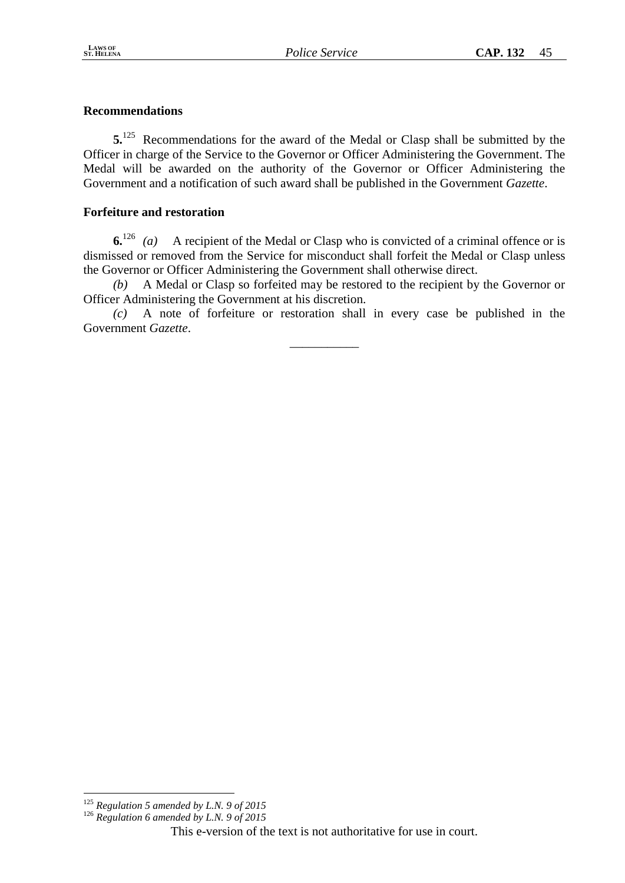# **Recommendations**

**5.**<sup>125</sup> Recommendations for the award of the Medal or Clasp shall be submitted by the Officer in charge of the Service to the Governor or Officer Administering the Government. The Medal will be awarded on the authority of the Governor or Officer Administering the Government and a notification of such award shall be published in the Government *Gazette*.

## **Forfeiture and restoration**

**6.**<sup>126</sup> *(a)* A recipient of the Medal or Clasp who is convicted of a criminal offence or is dismissed or removed from the Service for misconduct shall forfeit the Medal or Clasp unless the Governor or Officer Administering the Government shall otherwise direct.

*(b)* A Medal or Clasp so forfeited may be restored to the recipient by the Governor or Officer Administering the Government at his discretion.

*(c)* A note of forfeiture or restoration shall in every case be published in the Government *Gazette*.

\_\_\_\_\_\_\_\_\_\_\_

<u>.</u>

<sup>125</sup> *Regulation 5 amended by L.N. 9 of 2015*

<sup>126</sup> *Regulation 6 amended by L.N. 9 of 2015*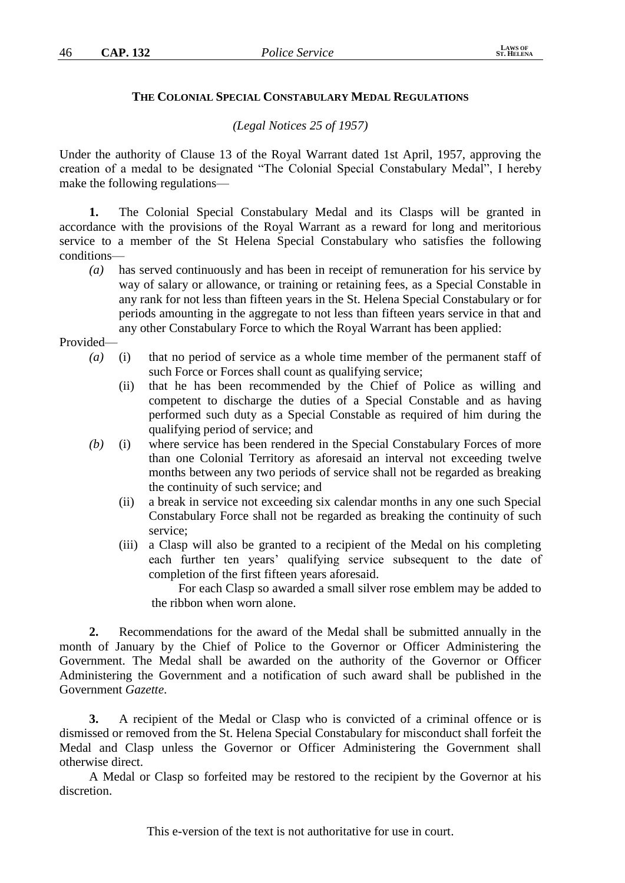#### **THE COLONIAL SPECIAL CONSTABULARY MEDAL REGULATIONS**

*(Legal Notices 25 of 1957)*

Under the authority of Clause 13 of the Royal Warrant dated 1st April, 1957, approving the creation of a medal to be designated "The Colonial Special Constabulary Medal", I hereby make the following regulations—

**1.** The Colonial Special Constabulary Medal and its Clasps will be granted in accordance with the provisions of the Royal Warrant as a reward for long and meritorious service to a member of the St Helena Special Constabulary who satisfies the following conditions—

*(a)* has served continuously and has been in receipt of remuneration for his service by way of salary or allowance, or training or retaining fees, as a Special Constable in any rank for not less than fifteen years in the St. Helena Special Constabulary or for periods amounting in the aggregate to not less than fifteen years service in that and any other Constabulary Force to which the Royal Warrant has been applied:

Provided—

- *(a)* (i) that no period of service as a whole time member of the permanent staff of such Force or Forces shall count as qualifying service;
	- (ii) that he has been recommended by the Chief of Police as willing and competent to discharge the duties of a Special Constable and as having performed such duty as a Special Constable as required of him during the qualifying period of service; and
- *(b)* (i) where service has been rendered in the Special Constabulary Forces of more than one Colonial Territory as aforesaid an interval not exceeding twelve months between any two periods of service shall not be regarded as breaking the continuity of such service; and
	- (ii) a break in service not exceeding six calendar months in any one such Special Constabulary Force shall not be regarded as breaking the continuity of such service;
	- (iii) a Clasp will also be granted to a recipient of the Medal on his completing each further ten years' qualifying service subsequent to the date of completion of the first fifteen years aforesaid.

For each Clasp so awarded a small silver rose emblem may be added to the ribbon when worn alone.

**2.** Recommendations for the award of the Medal shall be submitted annually in the month of January by the Chief of Police to the Governor or Officer Administering the Government. The Medal shall be awarded on the authority of the Governor or Officer Administering the Government and a notification of such award shall be published in the Government *Gazette*.

**3.** A recipient of the Medal or Clasp who is convicted of a criminal offence or is dismissed or removed from the St. Helena Special Constabulary for misconduct shall forfeit the Medal and Clasp unless the Governor or Officer Administering the Government shall otherwise direct.

A Medal or Clasp so forfeited may be restored to the recipient by the Governor at his discretion.